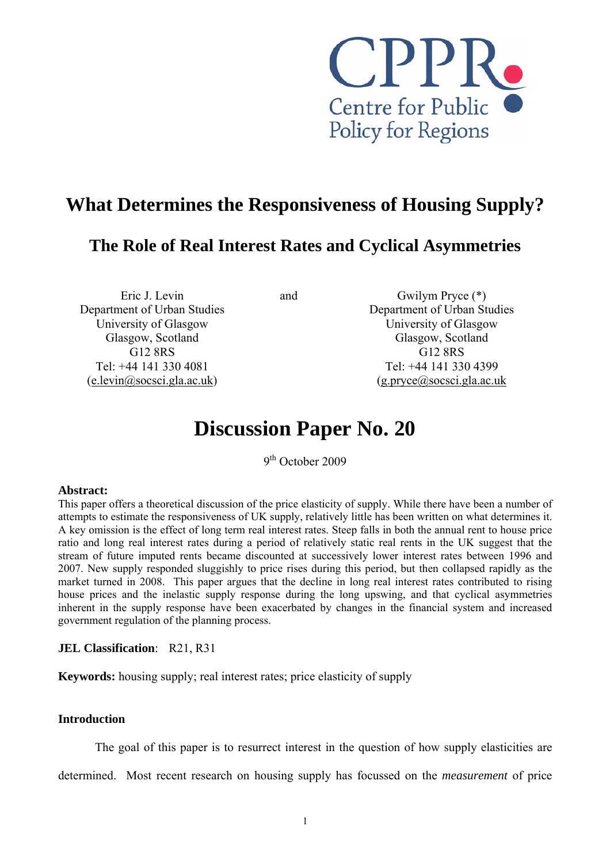

## **What Determines the Responsiveness of Housing Supply?**

### **The Role of Real Interest Rates and Cyclical Asymmetries**

Eric J. Levin Department of Urban Studies University of Glasgow Glasgow, Scotland G12 8RS Tel: +44 141 330 4081 ([e.levin@socsci.gla.ac.uk\)](mailto:e.levin@socsci.gla.ac.uk)

and Gwilym Pryce (\*) Department of Urban Studies University of Glasgow Glasgow, Scotland G12 8RS Tel: +44 141 330 4399  $(g.\text{pryce@socsci.gla.ac.uk})$ 

# **Discussion Paper No. 20**

9<sup>th</sup> October 2009

#### **Abstract:**

This paper offers a theoretical discussion of the price elasticity of supply. While there have been a number of attempts to estimate the responsiveness of UK supply, relatively little has been written on what determines it. A key omission is the effect of long term real interest rates. Steep falls in both the annual rent to house price ratio and long real interest rates during a period of relatively static real rents in the UK suggest that the stream of future imputed rents became discounted at successively lower interest rates between 1996 and 2007. New supply responded sluggishly to price rises during this period, but then collapsed rapidly as the market turned in 2008. This paper argues that the decline in long real interest rates contributed to rising house prices and the inelastic supply response during the long upswing, and that cyclical asymmetries inherent in the supply response have been exacerbated by changes in the financial system and increased government regulation of the planning process.

#### **JEL Classification**: R21, R31

**Keywords:** housing supply; real interest rates; price elasticity of supply

#### **Introduction**

The goal of this paper is to resurrect interest in the question of how supply elasticities are

determined. Most recent research on housing supply has focussed on the *measurement* of price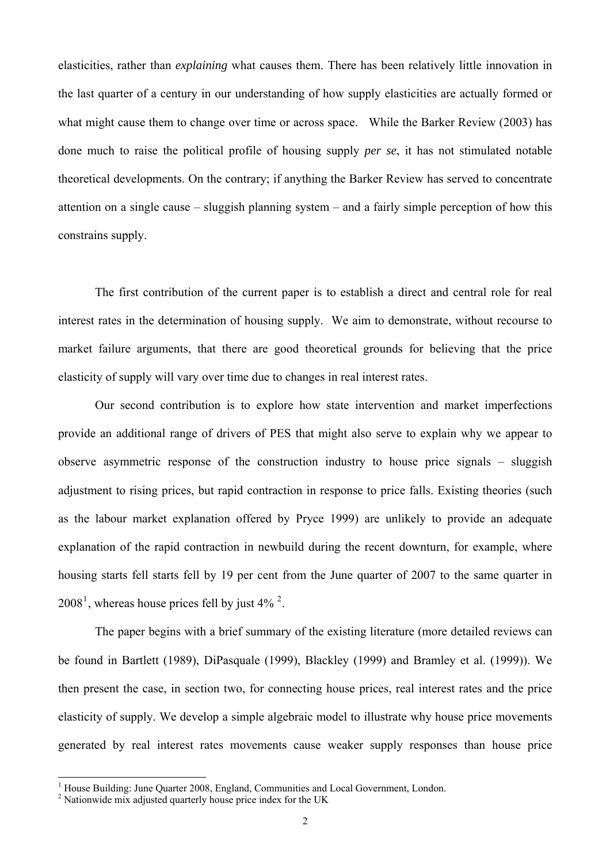elasticities, rather than *explaining* what causes them. There has been relatively little innovation in the last quarter of a century in our understanding of how supply elasticities are actually formed or what might cause them to change over time or across space. While the Barker Review (2003) has done much to raise the political profile of housing supply *per se*, it has not stimulated notable theoretical developments. On the contrary; if anything the Barker Review has served to concentrate attention on a single cause – sluggish planning system – and a fairly simple perception of how this constrains supply.

The first contribution of the current paper is to establish a direct and central role for real interest rates in the determination of housing supply. We aim to demonstrate, without recourse to market failure arguments, that there are good theoretical grounds for believing that the price elasticity of supply will vary over time due to changes in real interest rates.

Our second contribution is to explore how state intervention and market imperfections provide an additional range of drivers of PES that might also serve to explain why we appear to observe asymmetric response of the construction industry to house price signals – sluggish adjustment to rising prices, but rapid contraction in response to price falls. Existing theories (such as the labour market explanation offered by Pryce 1999) are unlikely to provide an adequate explanation of the rapid contraction in newbuild during the recent downturn, for example, where housing starts fell starts fell by 19 per cent from the June quarter of 2007 to the same quarter in  $2008<sup>1</sup>$  $2008<sup>1</sup>$  $2008<sup>1</sup>$ , whereas house prices fell by just 4%  $<sup>2</sup>$  $<sup>2</sup>$  $<sup>2</sup>$ .</sup>

The paper begins with a brief summary of the existing literature (more detailed reviews can be found in Bartlett (1989), DiPasquale (1999), Blackley (1999) and Bramley et al. (1999)). We then present the case, in section two, for connecting house prices, real interest rates and the price elasticity of supply. We develop a simple algebraic model to illustrate why house price movements generated by real interest rates movements cause weaker supply responses than house price

<sup>&</sup>lt;sup>1</sup> House Building: June Quarter 2008, England, Communities and Local Government, London.

<span id="page-1-1"></span><span id="page-1-0"></span><sup>&</sup>lt;sup>2</sup> Nationwide mix adjusted quarterly house price index for the UK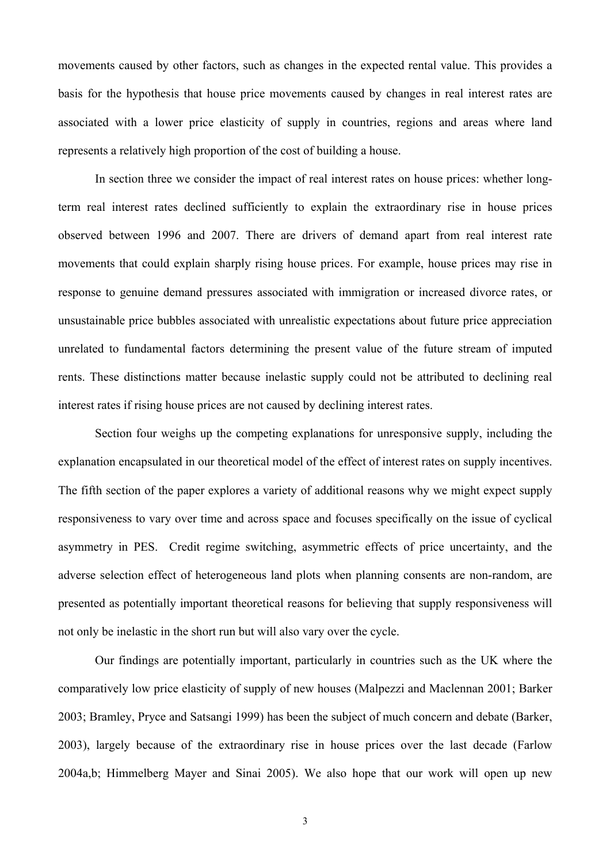movements caused by other factors, such as changes in the expected rental value. This provides a basis for the hypothesis that house price movements caused by changes in real interest rates are associated with a lower price elasticity of supply in countries, regions and areas where land represents a relatively high proportion of the cost of building a house.

In section three we consider the impact of real interest rates on house prices: whether longterm real interest rates declined sufficiently to explain the extraordinary rise in house prices observed between 1996 and 2007. There are drivers of demand apart from real interest rate movements that could explain sharply rising house prices. For example, house prices may rise in response to genuine demand pressures associated with immigration or increased divorce rates, or unsustainable price bubbles associated with unrealistic expectations about future price appreciation unrelated to fundamental factors determining the present value of the future stream of imputed rents. These distinctions matter because inelastic supply could not be attributed to declining real interest rates if rising house prices are not caused by declining interest rates.

Section four weighs up the competing explanations for unresponsive supply, including the explanation encapsulated in our theoretical model of the effect of interest rates on supply incentives. The fifth section of the paper explores a variety of additional reasons why we might expect supply responsiveness to vary over time and across space and focuses specifically on the issue of cyclical asymmetry in PES. Credit regime switching, asymmetric effects of price uncertainty, and the adverse selection effect of heterogeneous land plots when planning consents are non-random, are presented as potentially important theoretical reasons for believing that supply responsiveness will not only be inelastic in the short run but will also vary over the cycle.

 Our findings are potentially important, particularly in countries such as the UK where the comparatively low price elasticity of supply of new houses (Malpezzi and Maclennan 2001; Barker 2003; Bramley, Pryce and Satsangi 1999) has been the subject of much concern and debate (Barker, 2003), largely because of the extraordinary rise in house prices over the last decade (Farlow 2004a,b; Himmelberg Mayer and Sinai 2005). We also hope that our work will open up new

3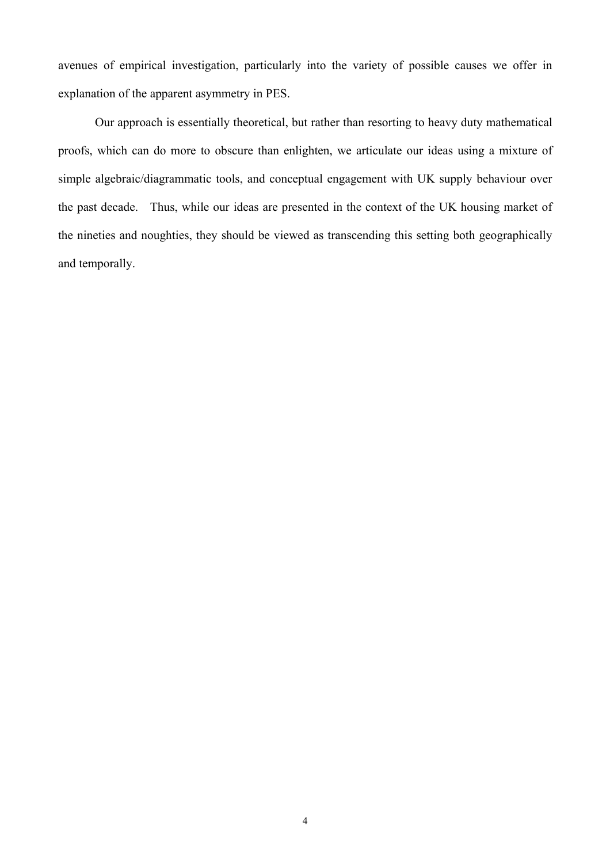avenues of empirical investigation, particularly into the variety of possible causes we offer in explanation of the apparent asymmetry in PES.

Our approach is essentially theoretical, but rather than resorting to heavy duty mathematical proofs, which can do more to obscure than enlighten, we articulate our ideas using a mixture of simple algebraic/diagrammatic tools, and conceptual engagement with UK supply behaviour over the past decade. Thus, while our ideas are presented in the context of the UK housing market of the nineties and noughties, they should be viewed as transcending this setting both geographically and temporally.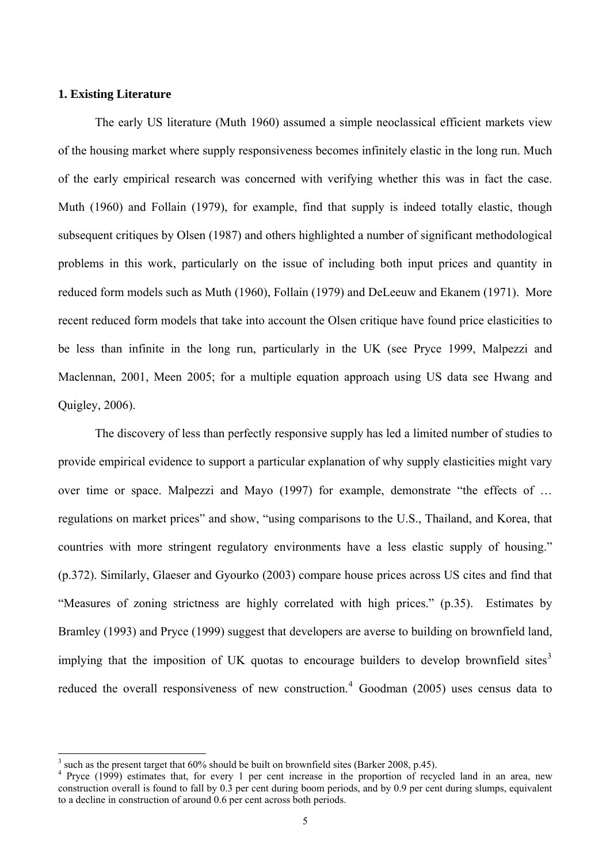#### <span id="page-4-0"></span>**1. Existing Literature**

The early US literature (Muth 1960) assumed a simple neoclassical efficient markets view of the housing market where supply responsiveness becomes infinitely elastic in the long run. Much of the early empirical research was concerned with verifying whether this was in fact the case. Muth (1960) and Follain (1979), for example, find that supply is indeed totally elastic, though subsequent critiques by Olsen (1987) and others highlighted a number of significant methodological problems in this work, particularly on the issue of including both input prices and quantity in reduced form models such as Muth (1960), Follain (1979) and DeLeeuw and Ekanem (1971). More recent reduced form models that take into account the Olsen critique have found price elasticities to be less than infinite in the long run, particularly in the UK (see Pryce 1999, Malpezzi and Maclennan, 2001, Meen 2005; for a multiple equation approach using US data see Hwang and Quigley, 2006).

The discovery of less than perfectly responsive supply has led a limited number of studies to provide empirical evidence to support a particular explanation of why supply elasticities might vary over time or space. Malpezzi and Mayo (1997) for example, demonstrate "the effects of … regulations on market prices" and show, "using comparisons to the U.S., Thailand, and Korea, that countries with more stringent regulatory environments have a less elastic supply of housing." (p.372). Similarly, Glaeser and Gyourko (2003) compare house prices across US cites and find that "Measures of zoning strictness are highly correlated with high prices." (p.35). Estimates by Bramley (1993) and Pryce (1999) suggest that developers are averse to building on brownfield land, implying that the imposition of UK quotas to encourage builders to develop brownfield sites<sup>[3](#page-4-0)</sup> reduced the overall responsiveness of new construction.<sup>[4](#page-4-0)</sup> Goodman (2005) uses census data to

<sup>&</sup>lt;sup>3</sup> such as the present target that 60% should be built on brownfield sites (Barker 2008, p.45).

<sup>&</sup>lt;sup>4</sup> Pryce (1999) estimates that, for every 1 per cent increase in the proportion of recycled land in an area, new construction overall is found to fall by 0.3 per cent during boom periods, and by 0.9 per cent during slumps, equivalent to a decline in construction of around 0.6 per cent across both periods.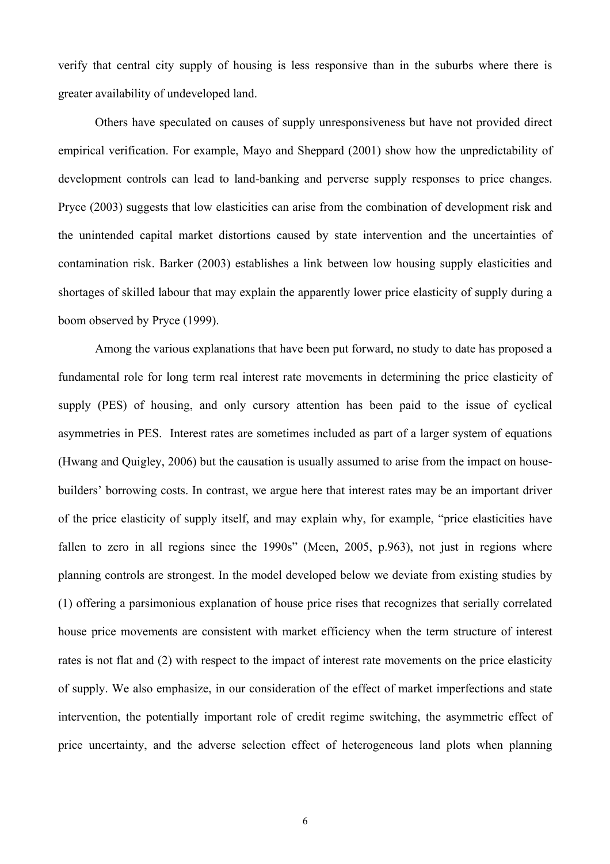verify that central city supply of housing is less responsive than in the suburbs where there is greater availability of undeveloped land.

Others have speculated on causes of supply unresponsiveness but have not provided direct empirical verification. For example, Mayo and Sheppard (2001) show how the unpredictability of development controls can lead to land-banking and perverse supply responses to price changes. Pryce (2003) suggests that low elasticities can arise from the combination of development risk and the unintended capital market distortions caused by state intervention and the uncertainties of contamination risk. Barker (2003) establishes a link between low housing supply elasticities and shortages of skilled labour that may explain the apparently lower price elasticity of supply during a boom observed by Pryce (1999).

 Among the various explanations that have been put forward, no study to date has proposed a fundamental role for long term real interest rate movements in determining the price elasticity of supply (PES) of housing, and only cursory attention has been paid to the issue of cyclical asymmetries in PES. Interest rates are sometimes included as part of a larger system of equations (Hwang and Quigley, 2006) but the causation is usually assumed to arise from the impact on housebuilders' borrowing costs. In contrast, we argue here that interest rates may be an important driver of the price elasticity of supply itself, and may explain why, for example, "price elasticities have fallen to zero in all regions since the 1990s" (Meen, 2005, p.963), not just in regions where planning controls are strongest. In the model developed below we deviate from existing studies by (1) offering a parsimonious explanation of house price rises that recognizes that serially correlated house price movements are consistent with market efficiency when the term structure of interest rates is not flat and (2) with respect to the impact of interest rate movements on the price elasticity of supply. We also emphasize, in our consideration of the effect of market imperfections and state intervention, the potentially important role of credit regime switching, the asymmetric effect of price uncertainty, and the adverse selection effect of heterogeneous land plots when planning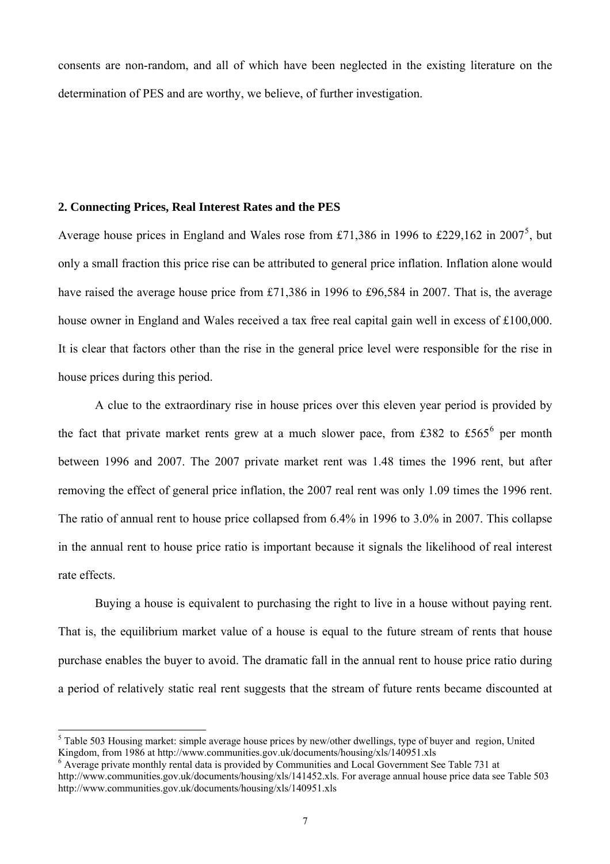<span id="page-6-0"></span>consents are non-random, and all of which have been neglected in the existing literature on the determination of PES and are worthy, we believe, of further investigation.

#### **2. Connecting Prices, Real Interest Rates and the PES**

Average house prices in England and Wales rose from £71,386 in 1996 to £229,162 in 2007<sup>[5](#page-6-0)</sup>, but only a small fraction this price rise can be attributed to general price inflation. Inflation alone would have raised the average house price from £71,386 in 1996 to £96,584 in 2007. That is, the average house owner in England and Wales received a tax free real capital gain well in excess of £100,000. It is clear that factors other than the rise in the general price level were responsible for the rise in house prices during this period.

A clue to the extraordinary rise in house prices over this eleven year period is provided by the fact that private market rents grew at a much slower pace, from £382 to £5[6](#page-6-0)5<sup>6</sup> per month between 1996 and 2007. The 2007 private market rent was 1.48 times the 1996 rent, but after removing the effect of general price inflation, the 2007 real rent was only 1.09 times the 1996 rent. The ratio of annual rent to house price collapsed from 6.4% in 1996 to 3.0% in 2007. This collapse in the annual rent to house price ratio is important because it signals the likelihood of real interest rate effects.

Buying a house is equivalent to purchasing the right to live in a house without paying rent. That is, the equilibrium market value of a house is equal to the future stream of rents that house purchase enables the buyer to avoid. The dramatic fall in the annual rent to house price ratio during a period of relatively static real rent suggests that the stream of future rents became discounted at

<sup>&</sup>lt;sup>5</sup> Table 503 Housing market: simple average house prices by new/other dwellings, type of buyer and region, United Kingdom, from 1986 at http://www.communities.gov.uk/documents/housing/xls/140951.xls

<sup>&</sup>lt;sup>6</sup> Average private monthly rental data is provided by Communities and Local Government See Table 731 at http://www.communities.gov.uk/documents/housing/xls/141452.xls. For average annual house price data see Table 503 http://www.communities.gov.uk/documents/housing/xls/140951.xls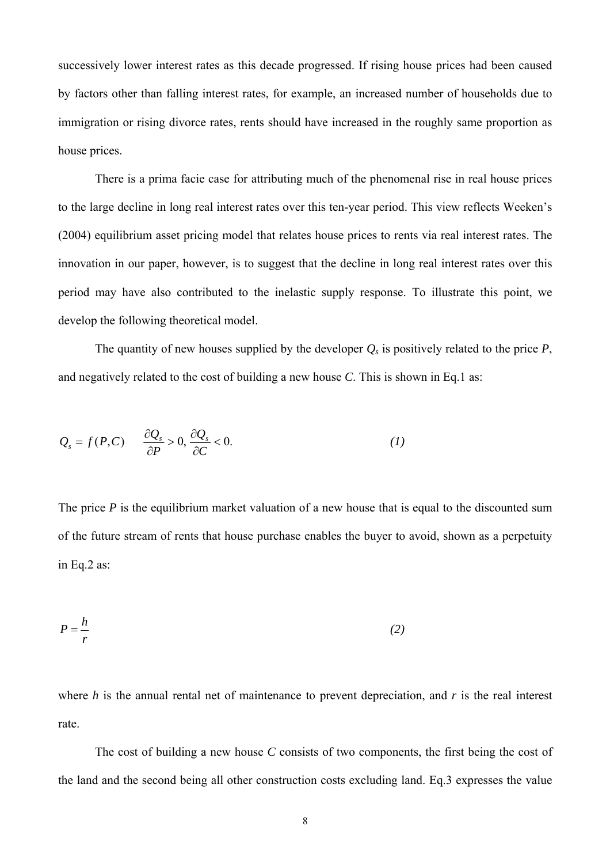successively lower interest rates as this decade progressed. If rising house prices had been caused by factors other than falling interest rates, for example, an increased number of households due to immigration or rising divorce rates, rents should have increased in the roughly same proportion as house prices.

There is a prima facie case for attributing much of the phenomenal rise in real house prices to the large decline in long real interest rates over this ten-year period. This view reflects Weeken's (2004) equilibrium asset pricing model that relates house prices to rents via real interest rates. The innovation in our paper, however, is to suggest that the decline in long real interest rates over this period may have also contributed to the inelastic supply response. To illustrate this point, we develop the following theoretical model.

The quantity of new houses supplied by the developer  $Q_s$  is positively related to the price  $P_s$ , and negatively related to the cost of building a new house *C*. This is shown in Eq.1 as:

$$
Q_s = f(P, C) \qquad \frac{\partial Q_s}{\partial P} > 0, \frac{\partial Q_s}{\partial C} < 0. \tag{1}
$$

The price *P* is the equilibrium market valuation of a new house that is equal to the discounted sum of the future stream of rents that house purchase enables the buyer to avoid, shown as a perpetuity in Eq.2 as:

$$
P = \frac{h}{r} \tag{2}
$$

where *h* is the annual rental net of maintenance to prevent depreciation, and *r* is the real interest rate.

The cost of building a new house *C* consists of two components, the first being the cost of the land and the second being all other construction costs excluding land. Eq.3 expresses the value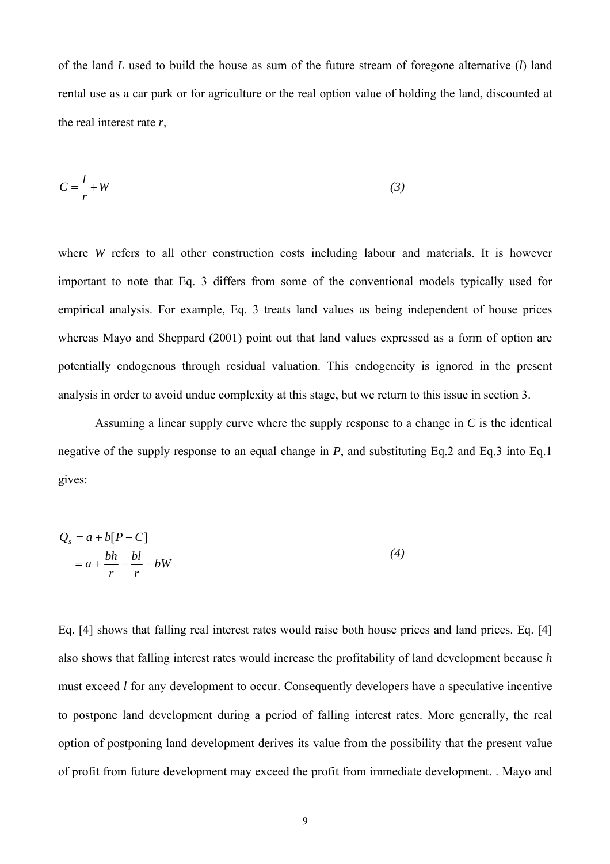of the land *L* used to build the house as sum of the future stream of foregone alternative (*l*) land rental use as a car park or for agriculture or the real option value of holding the land, discounted at the real interest rate *r*,

$$
C = \frac{l}{r} + W \tag{3}
$$

where *W* refers to all other construction costs including labour and materials. It is however important to note that Eq. 3 differs from some of the conventional models typically used for empirical analysis. For example, Eq. 3 treats land values as being independent of house prices whereas Mayo and Sheppard (2001) point out that land values expressed as a form of option are potentially endogenous through residual valuation. This endogeneity is ignored in the present analysis in order to avoid undue complexity at this stage, but we return to this issue in section 3.

Assuming a linear supply curve where the supply response to a change in *C* is the identical negative of the supply response to an equal change in *P*, and substituting Eq.2 and Eq.3 into Eq.1 gives:

$$
Q_s = a + b[P - C]
$$
  
=  $a + \frac{bh}{r} - \frac{bl}{r} - bW$  (4)

Eq. [4] shows that falling real interest rates would raise both house prices and land prices. Eq. [4] also shows that falling interest rates would increase the profitability of land development because *h* must exceed *l* for any development to occur. Consequently developers have a speculative incentive to postpone land development during a period of falling interest rates. More generally, the real option of postponing land development derives its value from the possibility that the present value of profit from future development may exceed the profit from immediate development. . Mayo and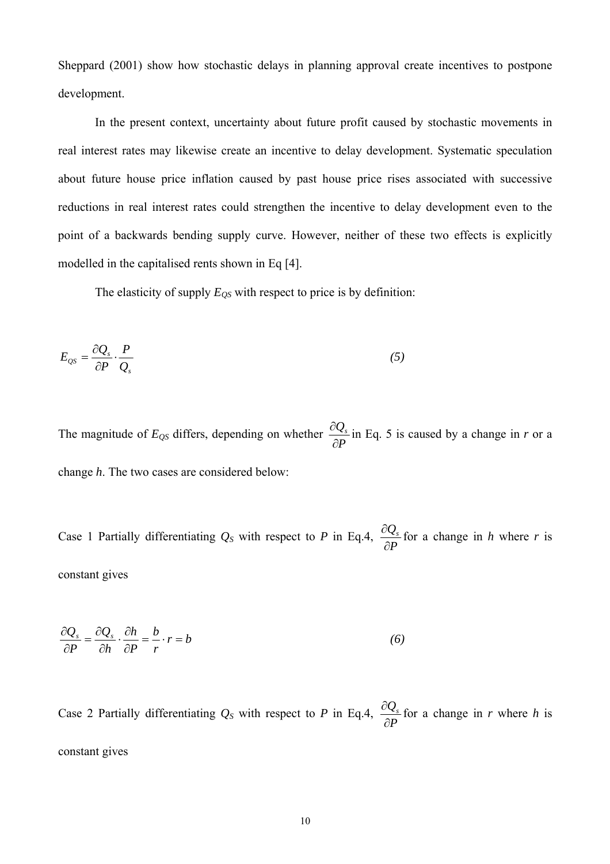Sheppard (2001) show how stochastic delays in planning approval create incentives to postpone development.

In the present context, uncertainty about future profit caused by stochastic movements in real interest rates may likewise create an incentive to delay development. Systematic speculation about future house price inflation caused by past house price rises associated with successive reductions in real interest rates could strengthen the incentive to delay development even to the point of a backwards bending supply curve. However, neither of these two effects is explicitly modelled in the capitalised rents shown in Eq [4].

The elasticity of supply  $E_{QS}$  with respect to price is by definition:

$$
E_{\rm QS} = \frac{\partial Q_s}{\partial P} \cdot \frac{P}{Q_s} \tag{5}
$$

The magnitude of  $E_{QS}$  differs, depending on whether  $\frac{\partial Q_s}{\partial P}$ ∂  $\frac{\partial Q_s}{\partial r}$  in Eq. 5 is caused by a change in *r* or a change *h*. The two cases are considered below:

Case 1 Partially differentiating  $Q_S$  with respect to *P* in Eq.4,  $\frac{\partial Q_s}{\partial P}$ ∂  $\frac{\partial Q_s}{\partial r}$  for a change in *h* where *r* is constant gives

$$
\frac{\partial Q_s}{\partial P} = \frac{\partial Q_s}{\partial h} \cdot \frac{\partial h}{\partial P} = \frac{b}{r} \cdot r = b \tag{6}
$$

Case 2 Partially differentiating  $Q_S$  with respect to *P* in Eq.4,  $\frac{\partial Q_s}{\partial P}$ ∂  $\frac{\partial Q_s}{\partial r}$  for a change in *r* where *h* is constant gives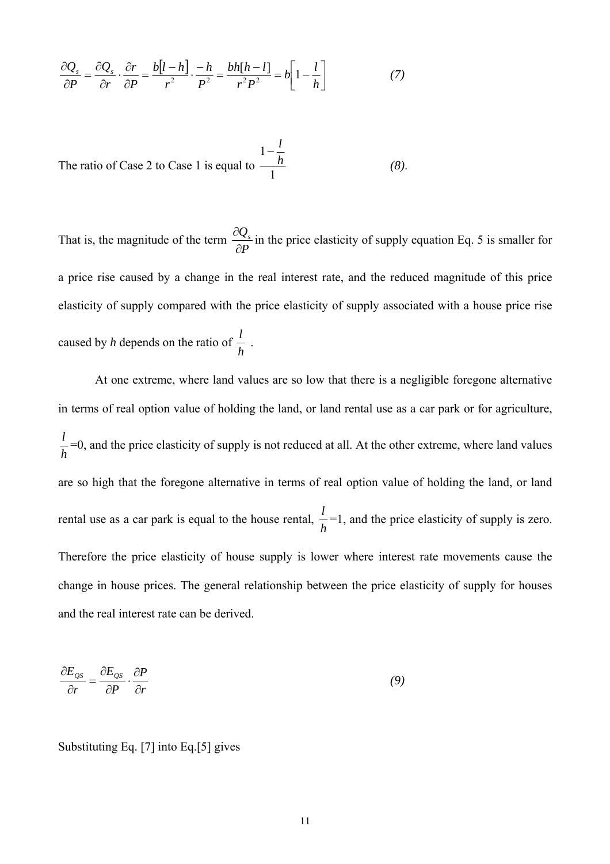$$
\frac{\partial Q_s}{\partial P} = \frac{\partial Q_s}{\partial r} \cdot \frac{\partial r}{\partial P} = \frac{b[l-h]}{r^2} \cdot \frac{-h}{P^2} = \frac{bh[h-l]}{r^2 P^2} = b\left[1 - \frac{l}{h}\right] \tag{7}
$$

The ratio of Case 2 to Case 1 is equal to  $\frac{1}{1}$ 1 *h*  $-\frac{l}{l}$ *(8)*.

That is, the magnitude of the term  $\frac{\partial Q_s}{\partial P}$ ∂  $\frac{\partial Q_s}{\partial \Sigma}$  in the price elasticity of supply equation Eq. 5 is smaller for a price rise caused by a change in the real interest rate, and the reduced magnitude of this price elasticity of supply compared with the price elasticity of supply associated with a house price rise caused by *h* depends on the ratio of  $\frac{l}{h}$ .

At one extreme, where land values are so low that there is a negligible foregone alternative in terms of real option value of holding the land, or land rental use as a car park or for agriculture, *h*  $\frac{l}{r}$  =0, and the price elasticity of supply is not reduced at all. At the other extreme, where land values are so high that the foregone alternative in terms of real option value of holding the land, or land rental use as a car park is equal to the house rental,  $\frac{l}{h}$  =1, and the price elasticity of supply is zero. Therefore the price elasticity of house supply is lower where interest rate movements cause the change in house prices. The general relationship between the price elasticity of supply for houses and the real interest rate can be derived.

$$
\frac{\partial E_{\rho S}}{\partial r} = \frac{\partial E_{\rho S}}{\partial P} \cdot \frac{\partial P}{\partial r}
$$
\n(9)

Substituting Eq. [7] into Eq.[5] gives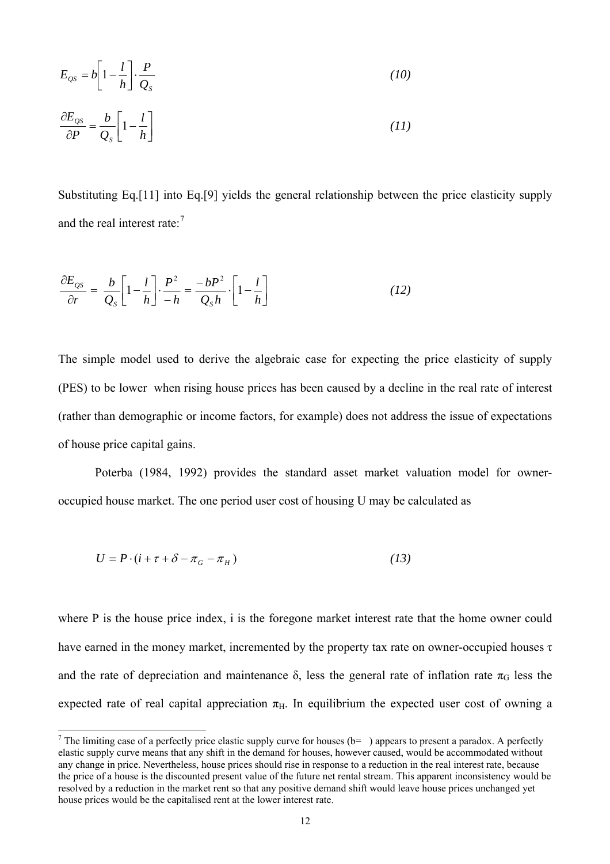<span id="page-11-0"></span>
$$
E_{\varrho s} = b \left[ 1 - \frac{l}{h} \right] \cdot \frac{P}{Q_s} \tag{10}
$$

$$
\frac{\partial E_{\text{QS}}}{\partial P} = \frac{b}{Q_s} \left[ 1 - \frac{l}{h} \right] \tag{11}
$$

Substituting Eq.[11] into Eq.[9] yields the general relationship between the price elasticity supply and the real interest rate: $7$ 

$$
\frac{\partial E_{OS}}{\partial r} = \frac{b}{Q_S} \left[ 1 - \frac{l}{h} \right] \cdot \frac{P^2}{-h} = \frac{-bP^2}{Q_S h} \cdot \left[ 1 - \frac{l}{h} \right] \tag{12}
$$

The simple model used to derive the algebraic case for expecting the price elasticity of supply (PES) to be lower when rising house prices has been caused by a decline in the real rate of interest (rather than demographic or income factors, for example) does not address the issue of expectations of house price capital gains.

Poterba (1984, 1992) provides the standard asset market valuation model for owneroccupied house market. The one period user cost of housing U may be calculated as

$$
U = P \cdot (i + \tau + \delta - \pi_{G} - \pi_{H}) \tag{13}
$$

where P is the house price index, i is the foregone market interest rate that the home owner could have earned in the money market, incremented by the property tax rate on owner-occupied houses τ and the rate of depreciation and maintenance  $\delta$ , less the general rate of inflation rate  $\pi_G$  less the expected rate of real capital appreciation  $\pi_H$ . In equilibrium the expected user cost of owning a

<sup>&</sup>lt;sup>7</sup> The limiting case of a perfectly price elastic supply curve for houses ( $b=$ ) appears to present a paradox. A perfectly elastic supply curve means that any shift in the demand for houses, however caused, would be accommodated without any change in price. Nevertheless, house prices should rise in response to a reduction in the real interest rate, because the price of a house is the discounted present value of the future net rental stream. This apparent inconsistency would be resolved by a reduction in the market rent so that any positive demand shift would leave house prices unchanged yet house prices would be the capitalised rent at the lower interest rate.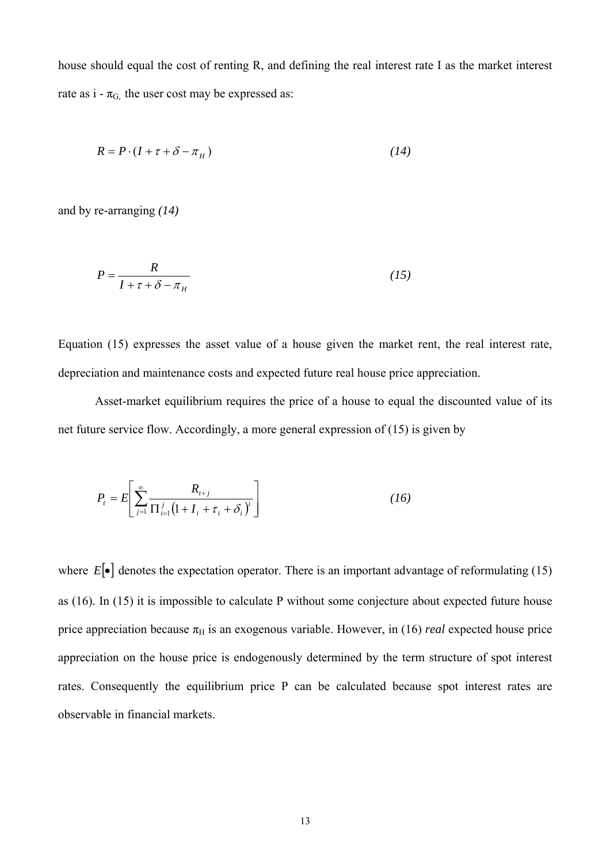house should equal the cost of renting R, and defining the real interest rate I as the market interest rate as  $i - \pi_{G}$ , the user cost may be expressed as:

$$
R = P \cdot (I + \tau + \delta - \pi_H) \tag{14}
$$

and by re-arranging *(14)*

$$
P = \frac{R}{I + \tau + \delta - \pi_H} \tag{15}
$$

Equation (15) expresses the asset value of a house given the market rent, the real interest rate, depreciation and maintenance costs and expected future real house price appreciation.

Asset-market equilibrium requires the price of a house to equal the discounted value of its net future service flow. Accordingly, a more general expression of (15) is given by

$$
P_{t} = E \left[ \sum_{j=1}^{\infty} \frac{R_{t+j}}{\prod_{i=1}^{j} (1 + I_{i} + \tau_{i} + \delta_{i})^{i}} \right]
$$
 (16)

where  $E[\bullet]$  denotes the expectation operator. There is an important advantage of reformulating (15) as (16). In (15) it is impossible to calculate P without some conjecture about expected future house price appreciation because  $\pi_H$  is an exogenous variable. However, in (16) *real* expected house price appreciation on the house price is endogenously determined by the term structure of spot interest rates. Consequently the equilibrium price P can be calculated because spot interest rates are observable in financial markets.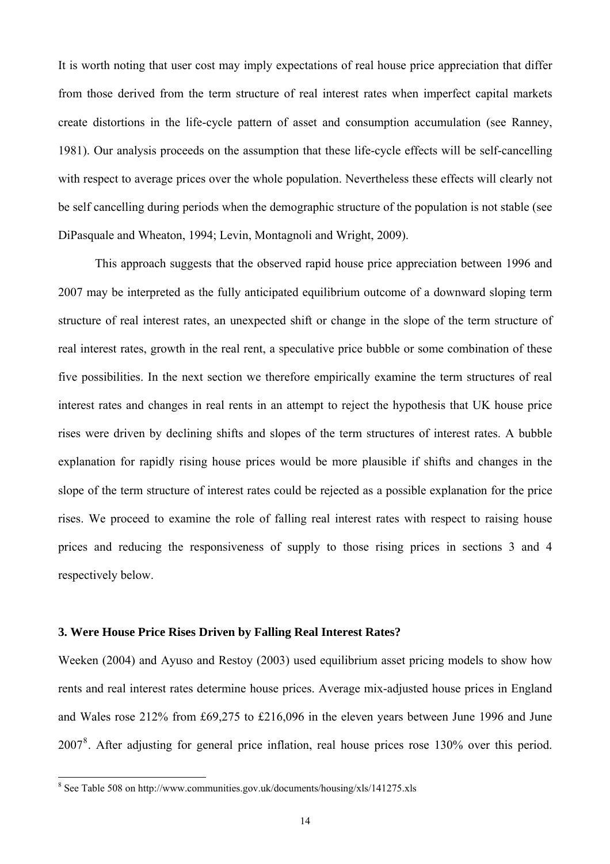<span id="page-13-0"></span>It is worth noting that user cost may imply expectations of real house price appreciation that differ from those derived from the term structure of real interest rates when imperfect capital markets create distortions in the life-cycle pattern of asset and consumption accumulation (see Ranney, 1981). Our analysis proceeds on the assumption that these life-cycle effects will be self-cancelling with respect to average prices over the whole population. Nevertheless these effects will clearly not be self cancelling during periods when the demographic structure of the population is not stable (see DiPasquale and Wheaton, 1994; Levin, Montagnoli and Wright, 2009).

This approach suggests that the observed rapid house price appreciation between 1996 and 2007 may be interpreted as the fully anticipated equilibrium outcome of a downward sloping term structure of real interest rates, an unexpected shift or change in the slope of the term structure of real interest rates, growth in the real rent, a speculative price bubble or some combination of these five possibilities. In the next section we therefore empirically examine the term structures of real interest rates and changes in real rents in an attempt to reject the hypothesis that UK house price rises were driven by declining shifts and slopes of the term structures of interest rates. A bubble explanation for rapidly rising house prices would be more plausible if shifts and changes in the slope of the term structure of interest rates could be rejected as a possible explanation for the price rises. We proceed to examine the role of falling real interest rates with respect to raising house prices and reducing the responsiveness of supply to those rising prices in sections 3 and 4 respectively below.

#### **3. Were House Price Rises Driven by Falling Real Interest Rates?**

Weeken (2004) and Ayuso and Restoy (2003) used equilibrium asset pricing models to show how rents and real interest rates determine house prices. Average mix-adjusted house prices in England and Wales rose 212% from £69,275 to £216,096 in the eleven years between June 1996 and June 2007<sup>[8](#page-13-0)</sup>. After adjusting for general price inflation, real house prices rose 130% over this period.

 8 See Table 508 on http://www.communities.gov.uk/documents/housing/xls/141275.xls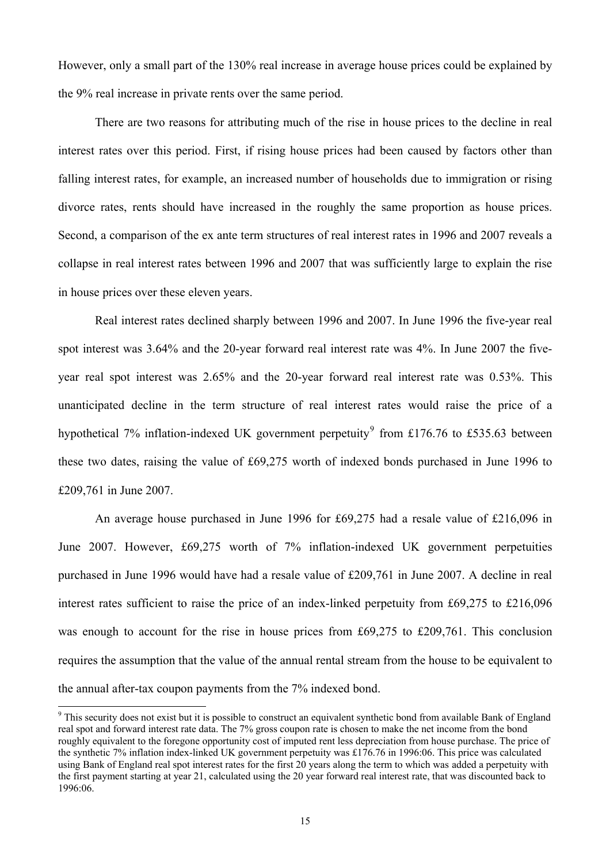<span id="page-14-0"></span>However, only a small part of the 130% real increase in average house prices could be explained by the 9% real increase in private rents over the same period.

There are two reasons for attributing much of the rise in house prices to the decline in real interest rates over this period. First, if rising house prices had been caused by factors other than falling interest rates, for example, an increased number of households due to immigration or rising divorce rates, rents should have increased in the roughly the same proportion as house prices. Second, a comparison of the ex ante term structures of real interest rates in 1996 and 2007 reveals a collapse in real interest rates between 1996 and 2007 that was sufficiently large to explain the rise in house prices over these eleven years.

Real interest rates declined sharply between 1996 and 2007. In June 1996 the five-year real spot interest was 3.64% and the 20-year forward real interest rate was 4%. In June 2007 the fiveyear real spot interest was 2.65% and the 20-year forward real interest rate was 0.53%. This unanticipated decline in the term structure of real interest rates would raise the price of a hypothetical 7% inflation-indexed UK government perpetuity<sup>[9](#page-14-0)</sup> from £176.76 to £535.63 between these two dates, raising the value of £69,275 worth of indexed bonds purchased in June 1996 to £209,761 in June 2007.

An average house purchased in June 1996 for £69,275 had a resale value of £216,096 in June 2007. However, £69,275 worth of 7% inflation-indexed UK government perpetuities purchased in June 1996 would have had a resale value of £209,761 in June 2007. A decline in real interest rates sufficient to raise the price of an index-linked perpetuity from £69,275 to £216,096 was enough to account for the rise in house prices from £69,275 to £209,761. This conclusion requires the assumption that the value of the annual rental stream from the house to be equivalent to the annual after-tax coupon payments from the 7% indexed bond.

 $\overline{\phantom{a}}$ 

<sup>&</sup>lt;sup>9</sup> This security does not exist but it is possible to construct an equivalent synthetic bond from available Bank of England real spot and forward interest rate data. The 7% gross coupon rate is chosen to make the net income from the bond roughly equivalent to the foregone opportunity cost of imputed rent less depreciation from house purchase. The price of the synthetic 7% inflation index-linked UK government perpetuity was £176.76 in 1996:06. This price was calculated using Bank of England real spot interest rates for the first 20 years along the term to which was added a perpetuity with the first payment starting at year 21, calculated using the 20 year forward real interest rate, that was discounted back to 1996:06.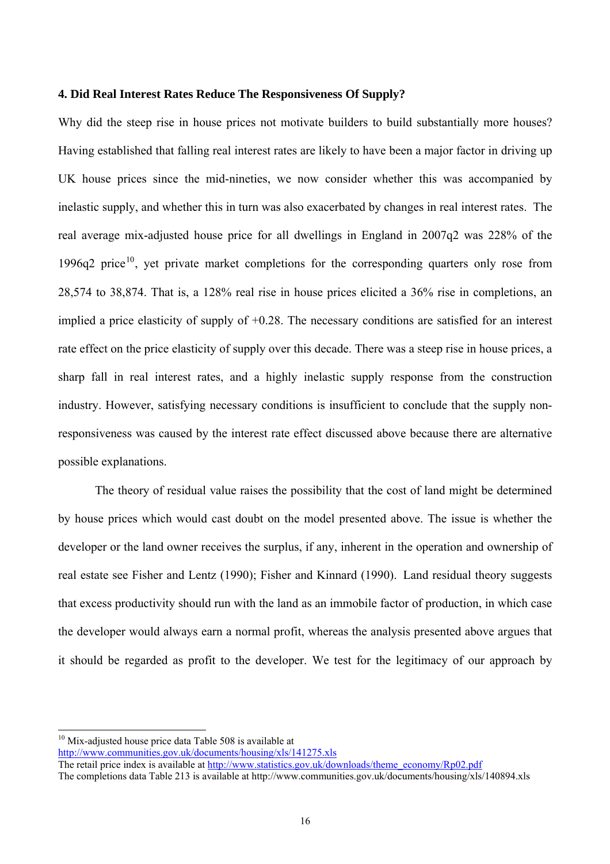#### <span id="page-15-0"></span>**4. Did Real Interest Rates Reduce The Responsiveness Of Supply?**

Why did the steep rise in house prices not motivate builders to build substantially more houses? Having established that falling real interest rates are likely to have been a major factor in driving up UK house prices since the mid-nineties, we now consider whether this was accompanied by inelastic supply, and whether this in turn was also exacerbated by changes in real interest rates. The real average mix-adjusted house price for all dwellings in England in 2007q2 was 228% of the 1996q2 price<sup>[10](#page-15-0)</sup>, yet private market completions for the corresponding quarters only rose from 28,574 to 38,874. That is, a 128% real rise in house prices elicited a 36% rise in completions, an implied a price elasticity of supply of +0.28. The necessary conditions are satisfied for an interest rate effect on the price elasticity of supply over this decade. There was a steep rise in house prices, a sharp fall in real interest rates, and a highly inelastic supply response from the construction industry. However, satisfying necessary conditions is insufficient to conclude that the supply nonresponsiveness was caused by the interest rate effect discussed above because there are alternative possible explanations.

The theory of residual value raises the possibility that the cost of land might be determined by house prices which would cast doubt on the model presented above. The issue is whether the developer or the land owner receives the surplus, if any, inherent in the operation and ownership of real estate see Fisher and Lentz (1990); Fisher and Kinnard (1990). Land residual theory suggests that excess productivity should run with the land as an immobile factor of production, in which case the developer would always earn a normal profit, whereas the analysis presented above argues that it should be regarded as profit to the developer. We test for the legitimacy of our approach by

 $\overline{a}$ 

 $10$  Mix-adjusted house price data Table 508 is available at

<http://www.communities.gov.uk/documents/housing/xls/141275.xls>

The retail price index is available at [http://www.statistics.gov.uk/downloads/theme\\_economy/Rp02.pdf](http://www.statistics.gov.uk/downloads/theme_economy/Rp02.pdf)

The completions data Table 213 is available at http://www.communities.gov.uk/documents/housing/xls/140894.xls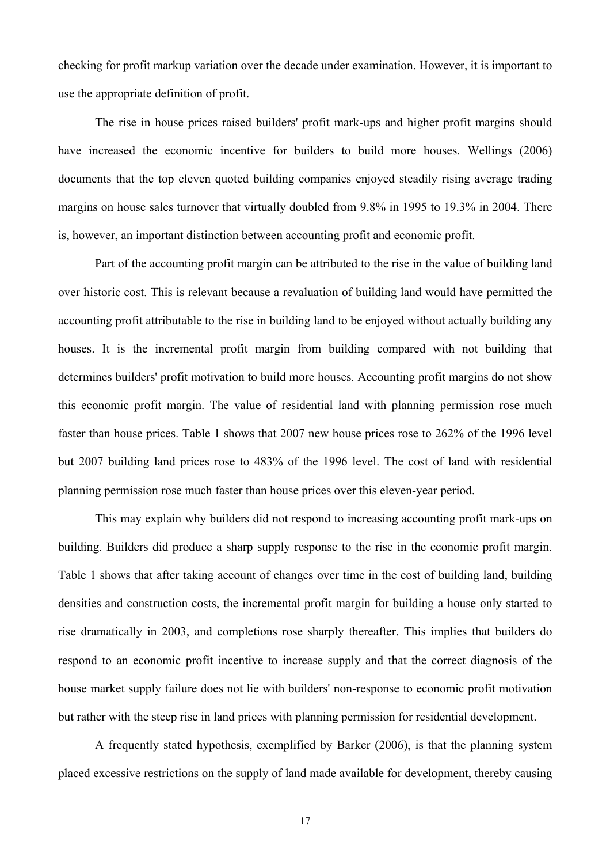checking for profit markup variation over the decade under examination. However, it is important to use the appropriate definition of profit.

The rise in house prices raised builders' profit mark-ups and higher profit margins should have increased the economic incentive for builders to build more houses. Wellings (2006) documents that the top eleven quoted building companies enjoyed steadily rising average trading margins on house sales turnover that virtually doubled from 9.8% in 1995 to 19.3% in 2004. There is, however, an important distinction between accounting profit and economic profit.

Part of the accounting profit margin can be attributed to the rise in the value of building land over historic cost. This is relevant because a revaluation of building land would have permitted the accounting profit attributable to the rise in building land to be enjoyed without actually building any houses. It is the incremental profit margin from building compared with not building that determines builders' profit motivation to build more houses. Accounting profit margins do not show this economic profit margin. The value of residential land with planning permission rose much faster than house prices. Table 1 shows that 2007 new house prices rose to 262% of the 1996 level but 2007 building land prices rose to 483% of the 1996 level. The cost of land with residential planning permission rose much faster than house prices over this eleven-year period.

 This may explain why builders did not respond to increasing accounting profit mark-ups on building. Builders did produce a sharp supply response to the rise in the economic profit margin. Table 1 shows that after taking account of changes over time in the cost of building land, building densities and construction costs, the incremental profit margin for building a house only started to rise dramatically in 2003, and completions rose sharply thereafter. This implies that builders do respond to an economic profit incentive to increase supply and that the correct diagnosis of the house market supply failure does not lie with builders' non-response to economic profit motivation but rather with the steep rise in land prices with planning permission for residential development.

 A frequently stated hypothesis, exemplified by Barker (2006), is that the planning system placed excessive restrictions on the supply of land made available for development, thereby causing

17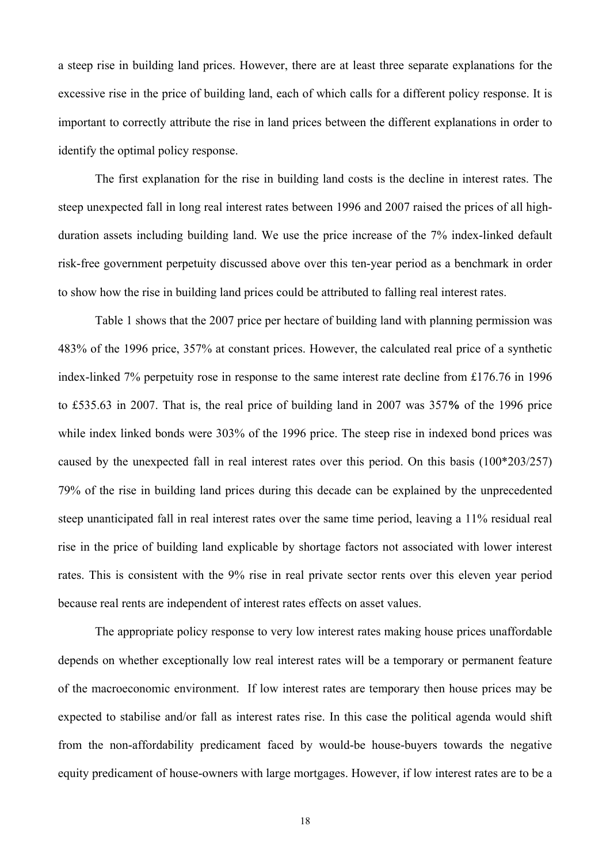a steep rise in building land prices. However, there are at least three separate explanations for the excessive rise in the price of building land, each of which calls for a different policy response. It is important to correctly attribute the rise in land prices between the different explanations in order to identify the optimal policy response.

 The first explanation for the rise in building land costs is the decline in interest rates. The steep unexpected fall in long real interest rates between 1996 and 2007 raised the prices of all highduration assets including building land. We use the price increase of the 7% index-linked default risk-free government perpetuity discussed above over this ten-year period as a benchmark in order to show how the rise in building land prices could be attributed to falling real interest rates.

Table 1 shows that the 2007 price per hectare of building land with planning permission was 483% of the 1996 price, 357% at constant prices. However, the calculated real price of a synthetic index-linked 7% perpetuity rose in response to the same interest rate decline from £176.76 in 1996 to £535.63 in 2007. That is, the real price of building land in 2007 was 357**%** of the 1996 price while index linked bonds were 303% of the 1996 price. The steep rise in indexed bond prices was caused by the unexpected fall in real interest rates over this period. On this basis (100\*203/257) 79% of the rise in building land prices during this decade can be explained by the unprecedented steep unanticipated fall in real interest rates over the same time period, leaving a 11% residual real rise in the price of building land explicable by shortage factors not associated with lower interest rates. This is consistent with the 9% rise in real private sector rents over this eleven year period because real rents are independent of interest rates effects on asset values.

The appropriate policy response to very low interest rates making house prices unaffordable depends on whether exceptionally low real interest rates will be a temporary or permanent feature of the macroeconomic environment. If low interest rates are temporary then house prices may be expected to stabilise and/or fall as interest rates rise. In this case the political agenda would shift from the non-affordability predicament faced by would-be house-buyers towards the negative equity predicament of house-owners with large mortgages. However, if low interest rates are to be a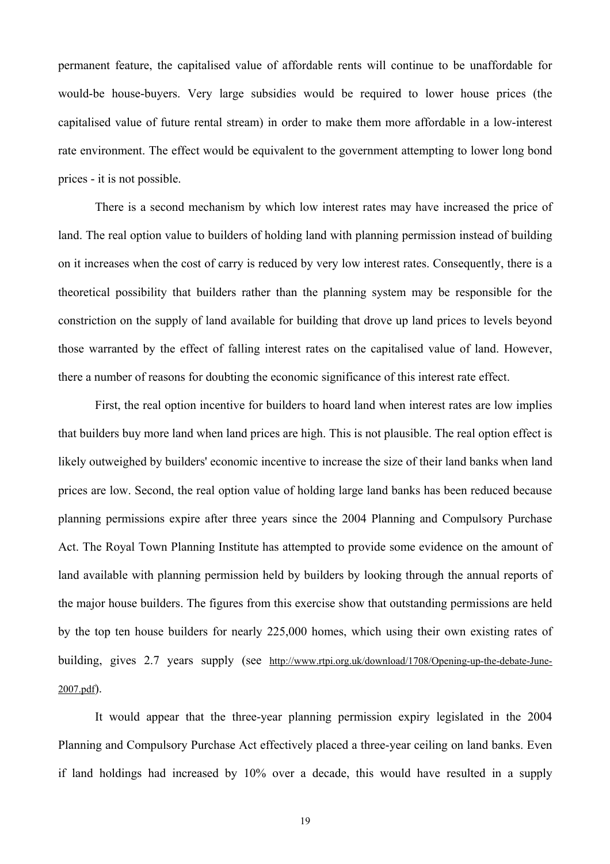permanent feature, the capitalised value of affordable rents will continue to be unaffordable for would-be house-buyers. Very large subsidies would be required to lower house prices (the capitalised value of future rental stream) in order to make them more affordable in a low-interest rate environment. The effect would be equivalent to the government attempting to lower long bond prices - it is not possible.

There is a second mechanism by which low interest rates may have increased the price of land. The real option value to builders of holding land with planning permission instead of building on it increases when the cost of carry is reduced by very low interest rates. Consequently, there is a theoretical possibility that builders rather than the planning system may be responsible for the constriction on the supply of land available for building that drove up land prices to levels beyond those warranted by the effect of falling interest rates on the capitalised value of land. However, there a number of reasons for doubting the economic significance of this interest rate effect.

First, the real option incentive for builders to hoard land when interest rates are low implies that builders buy more land when land prices are high. This is not plausible. The real option effect is likely outweighed by builders' economic incentive to increase the size of their land banks when land prices are low. Second, the real option value of holding large land banks has been reduced because planning permissions expire after three years since the 2004 Planning and Compulsory Purchase Act. The Royal Town Planning Institute has attempted to provide some evidence on the amount of land available with planning permission held by builders by looking through the annual reports of the major house builders. The figures from this exercise show that outstanding permissions are held by the top ten house builders for nearly 225,000 homes, which using their own existing rates of building, gives 2.7 years supply (see [http://www.rtpi.org.uk/download/1708/Opening-up-the-debate-June-](http://www.rtpi.org.uk/download/1708/Opening-up-the-debate-June-2007.pdf)[2007.pdf\)](http://www.rtpi.org.uk/download/1708/Opening-up-the-debate-June-2007.pdf).

It would appear that the three-year planning permission expiry legislated in the 2004 Planning and Compulsory Purchase Act effectively placed a three-year ceiling on land banks. Even if land holdings had increased by 10% over a decade, this would have resulted in a supply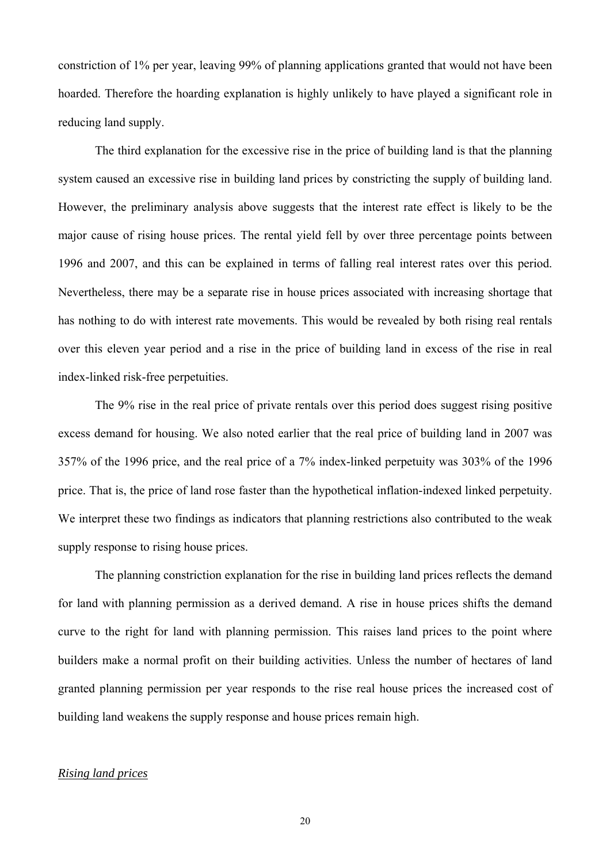constriction of 1% per year, leaving 99% of planning applications granted that would not have been hoarded. Therefore the hoarding explanation is highly unlikely to have played a significant role in reducing land supply.

 The third explanation for the excessive rise in the price of building land is that the planning system caused an excessive rise in building land prices by constricting the supply of building land. However, the preliminary analysis above suggests that the interest rate effect is likely to be the major cause of rising house prices. The rental yield fell by over three percentage points between 1996 and 2007, and this can be explained in terms of falling real interest rates over this period. Nevertheless, there may be a separate rise in house prices associated with increasing shortage that has nothing to do with interest rate movements. This would be revealed by both rising real rentals over this eleven year period and a rise in the price of building land in excess of the rise in real index-linked risk-free perpetuities.

The 9% rise in the real price of private rentals over this period does suggest rising positive excess demand for housing. We also noted earlier that the real price of building land in 2007 was 357% of the 1996 price, and the real price of a 7% index-linked perpetuity was 303% of the 1996 price. That is, the price of land rose faster than the hypothetical inflation-indexed linked perpetuity. We interpret these two findings as indicators that planning restrictions also contributed to the weak supply response to rising house prices.

 The planning constriction explanation for the rise in building land prices reflects the demand for land with planning permission as a derived demand. A rise in house prices shifts the demand curve to the right for land with planning permission. This raises land prices to the point where builders make a normal profit on their building activities. Unless the number of hectares of land granted planning permission per year responds to the rise real house prices the increased cost of building land weakens the supply response and house prices remain high.

#### *Rising land prices*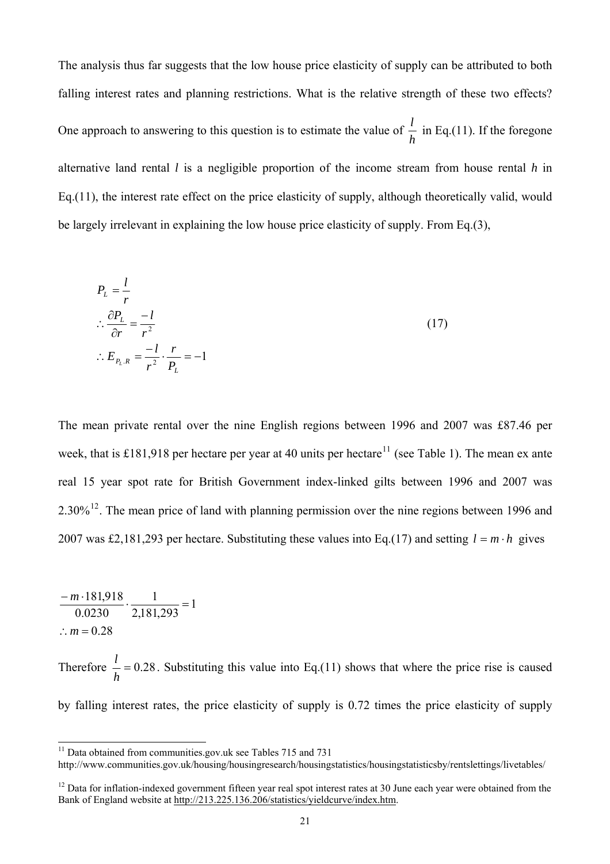<span id="page-20-0"></span>The analysis thus far suggests that the low house price elasticity of supply can be attributed to both falling interest rates and planning restrictions. What is the relative strength of these two effects? One approach to answering to this question is to estimate the value of  $\frac{l}{h}$  in Eq.(11). If the foregone alternative land rental *l* is a negligible proportion of the income stream from house rental *h* in Eq.(11), the interest rate effect on the price elasticity of supply, although theoretically valid, would be largely irrelevant in explaining the low house price elasticity of supply. From Eq.(3),

$$
P_L = \frac{l}{r}
$$
  
\n
$$
\therefore \frac{\partial P_L}{\partial r} = \frac{-l}{r^2}
$$
  
\n
$$
\therefore E_{P_L, R} = \frac{-l}{r^2} \cdot \frac{r}{P_L} = -1
$$
\n(17)

The mean private rental over the nine English regions between 1996 and 2007 was £87.46 per week, that is £181,918 per hectare per year at 40 units per hectare<sup>[11](#page-20-0)</sup> (see Table 1). The mean ex ante real 15 year spot rate for British Government index-linked gilts between 1996 and 2007 was 2.30%[12](#page-20-0). The mean price of land with planning permission over the nine regions between 1996 and 2007 was £2,181,293 per hectare. Substituting these values into Eq.(17) and setting  $l = m \cdot h$  gives

$$
\frac{-m \cdot 181,918}{0.0230} \cdot \frac{1}{2,181,293} = 1
$$
  
:.  $m = 0.28$ 

 $\overline{\phantom{a}}$ 

Therefore  $\frac{1}{1}$  = 0.28 *h*  $\frac{l}{r}$  = 0.28. Substituting this value into Eq.(11) shows that where the price rise is caused

by falling interest rates, the price elasticity of supply is 0.72 times the price elasticity of supply

 $11$  Data obtained from communities.gov.uk see Tables 715 and 731

http://www.communities.gov.uk/housing/housingresearch/housingstatistics/housingstatisticsby/rentslettings/livetables/

<sup>&</sup>lt;sup>12</sup> Data for inflation-indexed government fifteen year real spot interest rates at 30 June each year were obtained from the Bank of England website at <http://213.225.136.206/statistics/yieldcurve/index.htm>.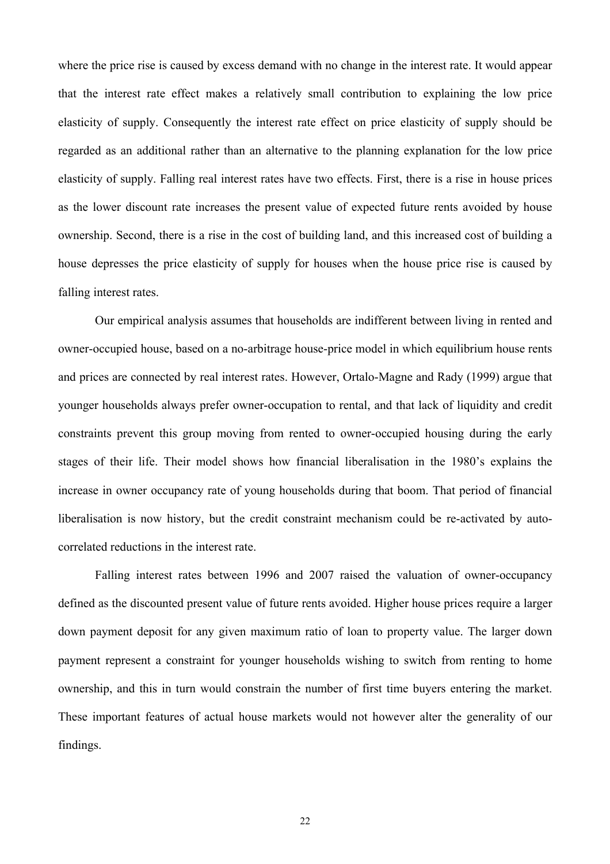where the price rise is caused by excess demand with no change in the interest rate. It would appear that the interest rate effect makes a relatively small contribution to explaining the low price elasticity of supply. Consequently the interest rate effect on price elasticity of supply should be regarded as an additional rather than an alternative to the planning explanation for the low price elasticity of supply. Falling real interest rates have two effects. First, there is a rise in house prices as the lower discount rate increases the present value of expected future rents avoided by house ownership. Second, there is a rise in the cost of building land, and this increased cost of building a house depresses the price elasticity of supply for houses when the house price rise is caused by falling interest rates.

Our empirical analysis assumes that households are indifferent between living in rented and owner-occupied house, based on a no-arbitrage house-price model in which equilibrium house rents and prices are connected by real interest rates. However, Ortalo-Magne and Rady (1999) argue that younger households always prefer owner-occupation to rental, and that lack of liquidity and credit constraints prevent this group moving from rented to owner-occupied housing during the early stages of their life. Their model shows how financial liberalisation in the 1980's explains the increase in owner occupancy rate of young households during that boom. That period of financial liberalisation is now history, but the credit constraint mechanism could be re-activated by autocorrelated reductions in the interest rate.

 Falling interest rates between 1996 and 2007 raised the valuation of owner-occupancy defined as the discounted present value of future rents avoided. Higher house prices require a larger down payment deposit for any given maximum ratio of loan to property value. The larger down payment represent a constraint for younger households wishing to switch from renting to home ownership, and this in turn would constrain the number of first time buyers entering the market. These important features of actual house markets would not however alter the generality of our findings.

22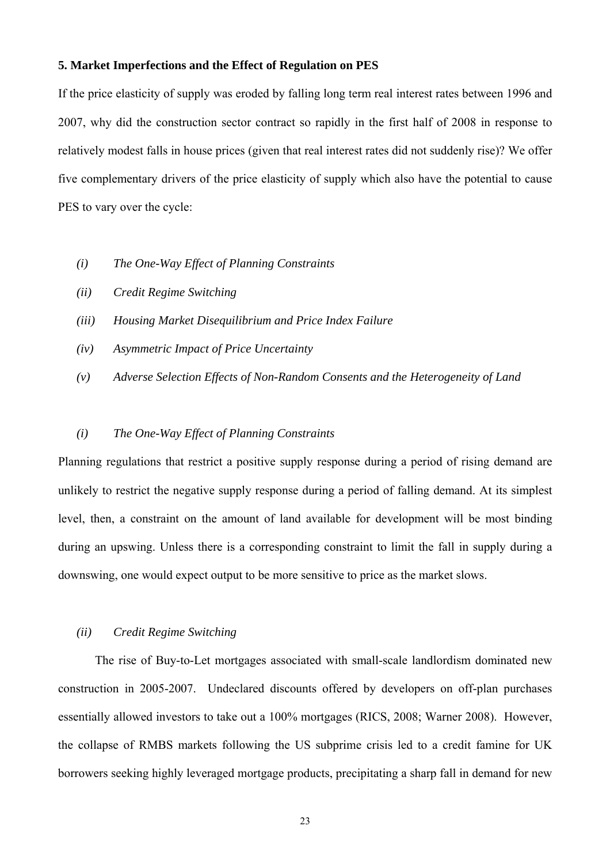#### **5. Market Imperfections and the Effect of Regulation on PES**

If the price elasticity of supply was eroded by falling long term real interest rates between 1996 and 2007, why did the construction sector contract so rapidly in the first half of 2008 in response to relatively modest falls in house prices (given that real interest rates did not suddenly rise)? We offer five complementary drivers of the price elasticity of supply which also have the potential to cause PES to vary over the cycle:

- *(i) The One-Way Effect of Planning Constraints*
- *(ii) Credit Regime Switching*
- *(iii) Housing Market Disequilibrium and Price Index Failure*
- *(iv) Asymmetric Impact of Price Uncertainty*
- *(v) Adverse Selection Effects of Non-Random Consents and the Heterogeneity of Land*

#### *(i) The One-Way Effect of Planning Constraints*

Planning regulations that restrict a positive supply response during a period of rising demand are unlikely to restrict the negative supply response during a period of falling demand. At its simplest level, then, a constraint on the amount of land available for development will be most binding during an upswing. Unless there is a corresponding constraint to limit the fall in supply during a downswing, one would expect output to be more sensitive to price as the market slows.

#### *(ii) Credit Regime Switching*

 The rise of Buy-to-Let mortgages associated with small-scale landlordism dominated new construction in 2005-2007. Undeclared discounts offered by developers on off-plan purchases essentially allowed investors to take out a 100% mortgages (RICS, 2008; Warner 2008). However, the collapse of RMBS markets following the US subprime crisis led to a credit famine for UK borrowers seeking highly leveraged mortgage products, precipitating a sharp fall in demand for new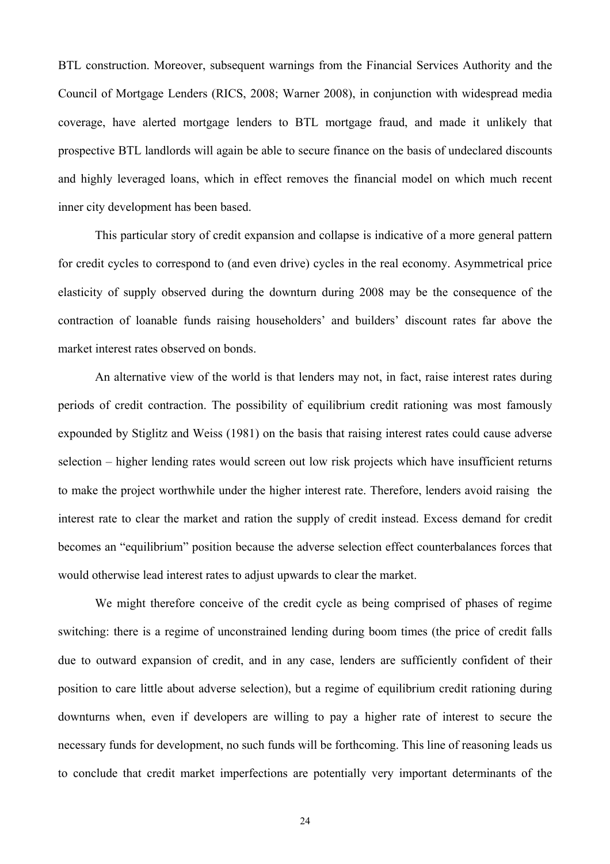BTL construction. Moreover, subsequent warnings from the Financial Services Authority and the Council of Mortgage Lenders (RICS, 2008; Warner 2008), in conjunction with widespread media coverage, have alerted mortgage lenders to BTL mortgage fraud, and made it unlikely that prospective BTL landlords will again be able to secure finance on the basis of undeclared discounts and highly leveraged loans, which in effect removes the financial model on which much recent inner city development has been based.

This particular story of credit expansion and collapse is indicative of a more general pattern for credit cycles to correspond to (and even drive) cycles in the real economy. Asymmetrical price elasticity of supply observed during the downturn during 2008 may be the consequence of the contraction of loanable funds raising householders' and builders' discount rates far above the market interest rates observed on bonds.

An alternative view of the world is that lenders may not, in fact, raise interest rates during periods of credit contraction. The possibility of equilibrium credit rationing was most famously expounded by Stiglitz and Weiss (1981) on the basis that raising interest rates could cause adverse selection – higher lending rates would screen out low risk projects which have insufficient returns to make the project worthwhile under the higher interest rate. Therefore, lenders avoid raising the interest rate to clear the market and ration the supply of credit instead. Excess demand for credit becomes an "equilibrium" position because the adverse selection effect counterbalances forces that would otherwise lead interest rates to adjust upwards to clear the market.

We might therefore conceive of the credit cycle as being comprised of phases of regime switching: there is a regime of unconstrained lending during boom times (the price of credit falls due to outward expansion of credit, and in any case, lenders are sufficiently confident of their position to care little about adverse selection), but a regime of equilibrium credit rationing during downturns when, even if developers are willing to pay a higher rate of interest to secure the necessary funds for development, no such funds will be forthcoming. This line of reasoning leads us to conclude that credit market imperfections are potentially very important determinants of the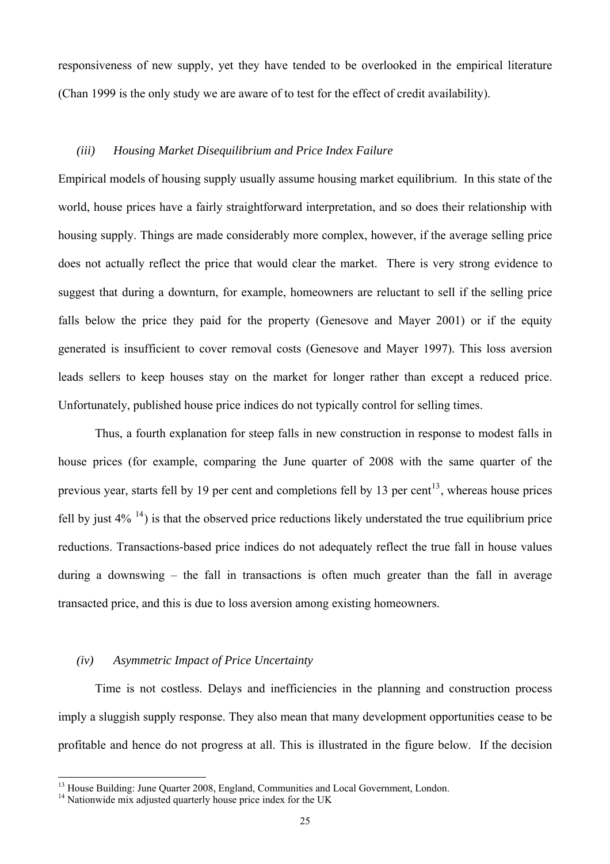<span id="page-24-0"></span>responsiveness of new supply, yet they have tended to be overlooked in the empirical literature (Chan 1999 is the only study we are aware of to test for the effect of credit availability).

#### *(iii) Housing Market Disequilibrium and Price Index Failure*

Empirical models of housing supply usually assume housing market equilibrium. In this state of the world, house prices have a fairly straightforward interpretation, and so does their relationship with housing supply. Things are made considerably more complex, however, if the average selling price does not actually reflect the price that would clear the market. There is very strong evidence to suggest that during a downturn, for example, homeowners are reluctant to sell if the selling price falls below the price they paid for the property (Genesove and Mayer 2001) or if the equity generated is insufficient to cover removal costs (Genesove and Mayer 1997). This loss aversion leads sellers to keep houses stay on the market for longer rather than except a reduced price. Unfortunately, published house price indices do not typically control for selling times.

Thus, a fourth explanation for steep falls in new construction in response to modest falls in house prices (for example, comparing the June quarter of 2008 with the same quarter of the previous year, starts fell by 19 per cent and completions fell by [13](#page-24-0) per cent<sup>13</sup>, whereas house prices fell by just  $4\%$  <sup>[14](#page-24-0)</sup>) is that the observed price reductions likely understated the true equilibrium price reductions. Transactions-based price indices do not adequately reflect the true fall in house values during a downswing – the fall in transactions is often much greater than the fall in average transacted price, and this is due to loss aversion among existing homeowners.

#### *(iv) Asymmetric Impact of Price Uncertainty*

 Time is not costless. Delays and inefficiencies in the planning and construction process imply a sluggish supply response. They also mean that many development opportunities cease to be profitable and hence do not progress at all. This is illustrated in the figure below. If the decision

 $\overline{\phantom{a}}$ 

<sup>&</sup>lt;sup>13</sup> House Building: June Quarter 2008, England, Communities and Local Government, London.

 $14$  Nationwide mix adjusted quarterly house price index for the UK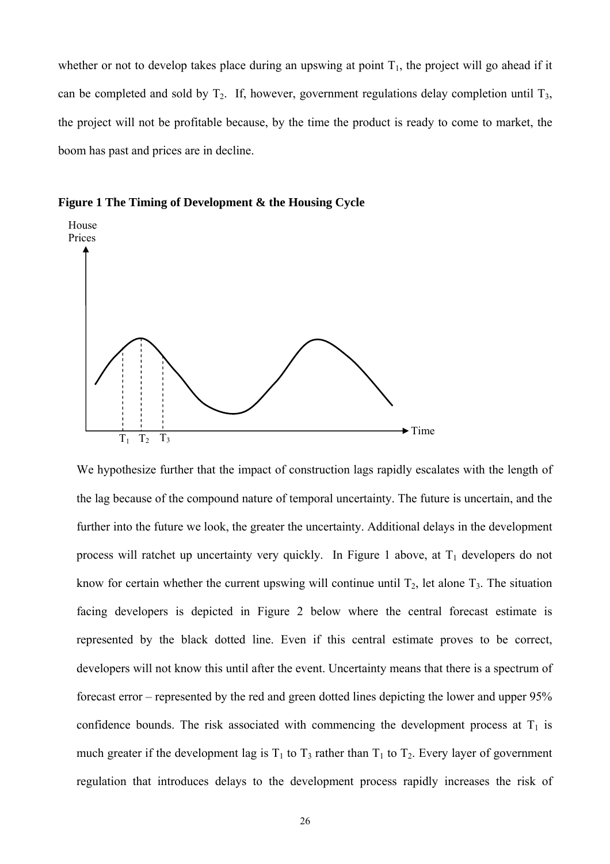whether or not to develop takes place during an upswing at point  $T_1$ , the project will go ahead if it can be completed and sold by  $T_2$ . If, however, government regulations delay completion until  $T_3$ , the project will not be profitable because, by the time the product is ready to come to market, the boom has past and prices are in decline.





We hypothesize further that the impact of construction lags rapidly escalates with the length of the lag because of the compound nature of temporal uncertainty. The future is uncertain, and the further into the future we look, the greater the uncertainty. Additional delays in the development process will ratchet up uncertainty very quickly. In Figure 1 above, at  $T_1$  developers do not know for certain whether the current upswing will continue until  $T_2$ , let alone  $T_3$ . The situation facing developers is depicted in Figure 2 below where the central forecast estimate is represented by the black dotted line. Even if this central estimate proves to be correct, developers will not know this until after the event. Uncertainty means that there is a spectrum of forecast error – represented by the red and green dotted lines depicting the lower and upper 95% confidence bounds. The risk associated with commencing the development process at  $T_1$  is much greater if the development lag is  $T_1$  to  $T_3$  rather than  $T_1$  to  $T_2$ . Every layer of government regulation that introduces delays to the development process rapidly increases the risk of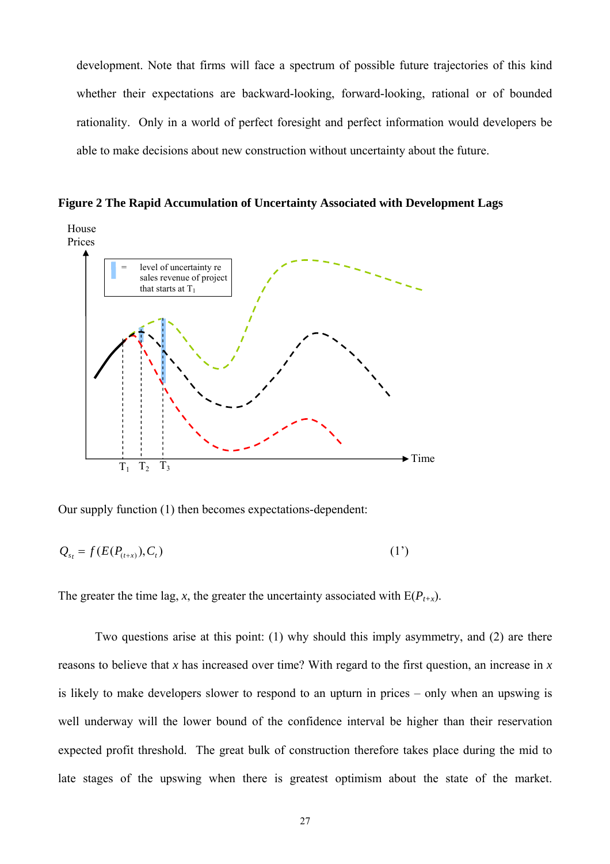development. Note that firms will face a spectrum of possible future trajectories of this kind whether their expectations are backward-looking, forward-looking, rational or of bounded rationality. Only in a world of perfect foresight and perfect information would developers be able to make decisions about new construction without uncertainty about the future.

**Figure 2 The Rapid Accumulation of Uncertainty Associated with Development Lags** 



Our supply function (1) then becomes expectations-dependent:

$$
Q_{s_t} = f(E(P_{(t+x)}), C_t) \tag{1'}
$$

The greater the time lag, *x*, the greater the uncertainty associated with  $E(P_{t+x})$ .

Two questions arise at this point: (1) why should this imply asymmetry, and (2) are there reasons to believe that *x* has increased over time? With regard to the first question, an increase in *x* is likely to make developers slower to respond to an upturn in prices – only when an upswing is well underway will the lower bound of the confidence interval be higher than their reservation expected profit threshold. The great bulk of construction therefore takes place during the mid to late stages of the upswing when there is greatest optimism about the state of the market.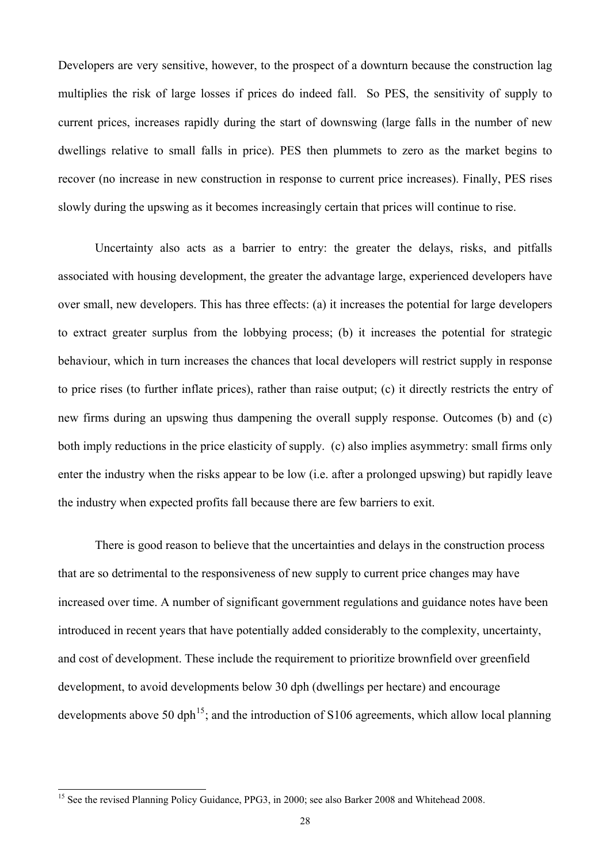<span id="page-27-0"></span>Developers are very sensitive, however, to the prospect of a downturn because the construction lag multiplies the risk of large losses if prices do indeed fall. So PES, the sensitivity of supply to current prices, increases rapidly during the start of downswing (large falls in the number of new dwellings relative to small falls in price). PES then plummets to zero as the market begins to recover (no increase in new construction in response to current price increases). Finally, PES rises slowly during the upswing as it becomes increasingly certain that prices will continue to rise.

 Uncertainty also acts as a barrier to entry: the greater the delays, risks, and pitfalls associated with housing development, the greater the advantage large, experienced developers have over small, new developers. This has three effects: (a) it increases the potential for large developers to extract greater surplus from the lobbying process; (b) it increases the potential for strategic behaviour, which in turn increases the chances that local developers will restrict supply in response to price rises (to further inflate prices), rather than raise output; (c) it directly restricts the entry of new firms during an upswing thus dampening the overall supply response. Outcomes (b) and (c) both imply reductions in the price elasticity of supply. (c) also implies asymmetry: small firms only enter the industry when the risks appear to be low (i.e. after a prolonged upswing) but rapidly leave the industry when expected profits fall because there are few barriers to exit.

 There is good reason to believe that the uncertainties and delays in the construction process that are so detrimental to the responsiveness of new supply to current price changes may have increased over time. A number of significant government regulations and guidance notes have been introduced in recent years that have potentially added considerably to the complexity, uncertainty, and cost of development. These include the requirement to prioritize brownfield over greenfield development, to avoid developments below 30 dph (dwellings per hectare) and encourage developments above 50 dph<sup>[15](#page-27-0)</sup>; and the introduction of S106 agreements, which allow local planning

 $\overline{\phantom{a}}$ 

<sup>&</sup>lt;sup>15</sup> See the revised Planning Policy Guidance, PPG3, in 2000; see also Barker 2008 and Whitehead 2008.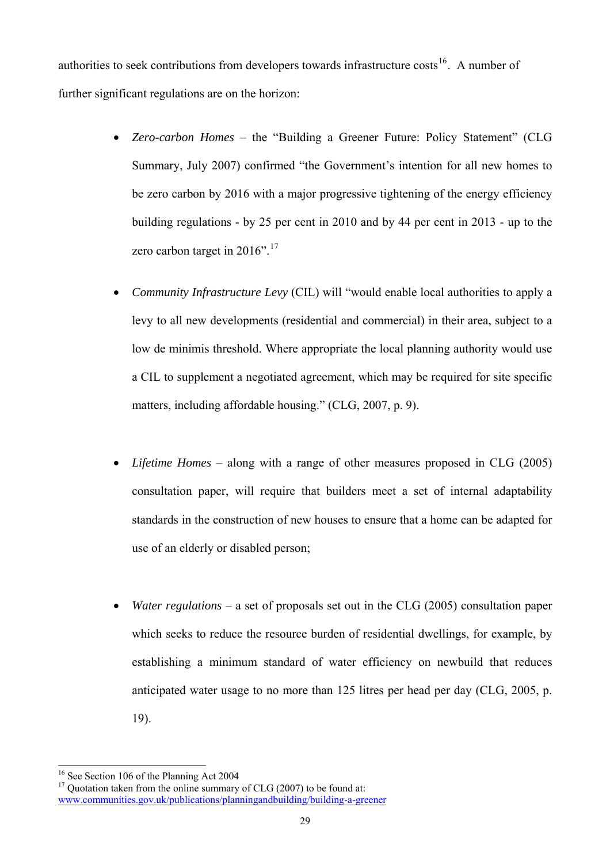<span id="page-28-0"></span>authorities to seek contributions from developers towards infrastructure costs<sup>[16](#page-28-0)</sup>. A number of further significant regulations are on the horizon:

- *Zero-carbon Homes* the "Building a Greener Future: Policy Statement" (CLG Summary, July 2007) confirmed "the Government's intention for all new homes to be zero carbon by 2016 with a major progressive tightening of the energy efficiency building regulations - by 25 per cent in 2010 and by 44 per cent in 2013 - up to the zero carbon target in  $2016$ ".<sup>[17](#page-28-0)</sup>
- *Community Infrastructure Levy* (CIL) will "would enable local authorities to apply a levy to all new developments (residential and commercial) in their area, subject to a low de minimis threshold. Where appropriate the local planning authority would use a CIL to supplement a negotiated agreement, which may be required for site specific matters, including affordable housing." (CLG, 2007, p. 9).
- *Lifetime Homes* along with a range of other measures proposed in CLG (2005) consultation paper, will require that builders meet a set of internal adaptability standards in the construction of new houses to ensure that a home can be adapted for use of an elderly or disabled person;
- *Water regulations* a set of proposals set out in the CLG (2005) consultation paper which seeks to reduce the resource burden of residential dwellings, for example, by establishing a minimum standard of water efficiency on newbuild that reduces anticipated water usage to no more than 125 litres per head per day (CLG, 2005, p. 19).

 $\overline{a}$ <sup>16</sup> See Section 106 of the Planning Act 2004

 $17$  Quotation taken from the online summary of CLG (2007) to be found at: [www.communities.gov.uk/publications/planningandbuilding/building-a-greener](http://www.communities.gov.uk/publications/planningandbuilding/building-a-greener)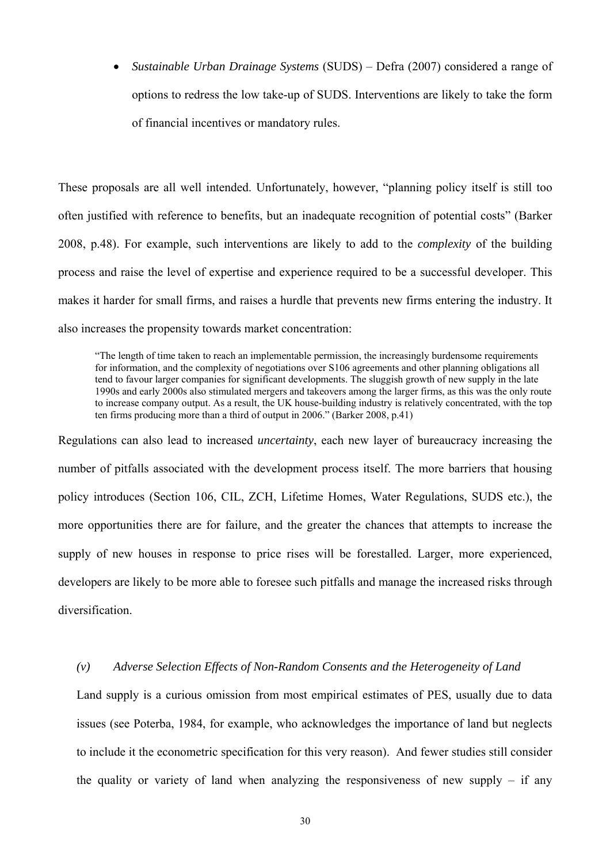• *Sustainable Urban Drainage Systems* (SUDS) – Defra (2007) considered a range of options to redress the low take-up of SUDS. Interventions are likely to take the form of financial incentives or mandatory rules.

These proposals are all well intended. Unfortunately, however, "planning policy itself is still too often justified with reference to benefits, but an inadequate recognition of potential costs" (Barker 2008, p.48). For example, such interventions are likely to add to the *complexity* of the building process and raise the level of expertise and experience required to be a successful developer. This makes it harder for small firms, and raises a hurdle that prevents new firms entering the industry. It also increases the propensity towards market concentration:

"The length of time taken to reach an implementable permission, the increasingly burdensome requirements for information, and the complexity of negotiations over S106 agreements and other planning obligations all tend to favour larger companies for significant developments. The sluggish growth of new supply in the late 1990s and early 2000s also stimulated mergers and takeovers among the larger firms, as this was the only route to increase company output. As a result, the UK house-building industry is relatively concentrated, with the top ten firms producing more than a third of output in 2006." (Barker 2008, p.41)

Regulations can also lead to increased *uncertainty*, each new layer of bureaucracy increasing the number of pitfalls associated with the development process itself. The more barriers that housing policy introduces (Section 106, CIL, ZCH, Lifetime Homes, Water Regulations, SUDS etc.), the more opportunities there are for failure, and the greater the chances that attempts to increase the supply of new houses in response to price rises will be forestalled. Larger, more experienced, developers are likely to be more able to foresee such pitfalls and manage the increased risks through diversification.

#### *(v) Adverse Selection Effects of Non-Random Consents and the Heterogeneity of Land*

Land supply is a curious omission from most empirical estimates of PES, usually due to data issues (see Poterba, 1984, for example, who acknowledges the importance of land but neglects to include it the econometric specification for this very reason). And fewer studies still consider the quality or variety of land when analyzing the responsiveness of new supply  $-$  if any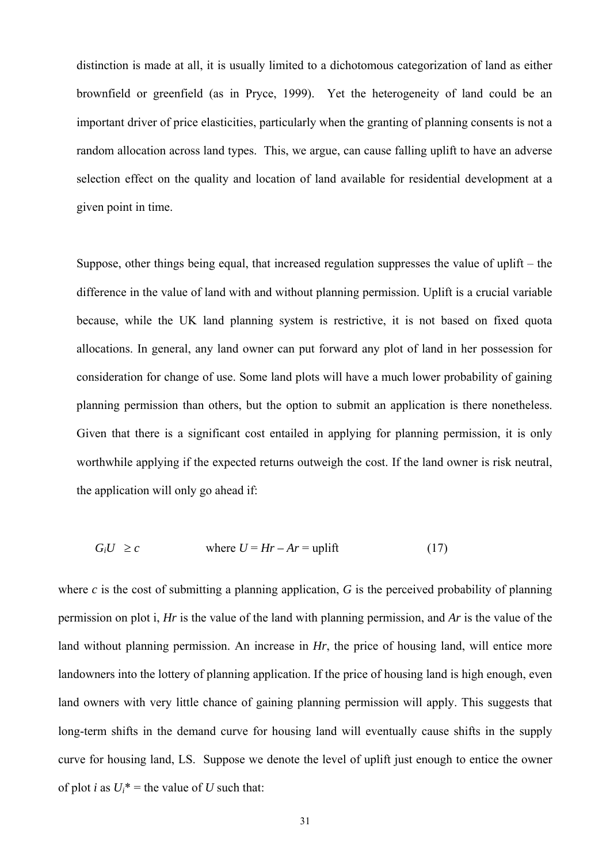distinction is made at all, it is usually limited to a dichotomous categorization of land as either brownfield or greenfield (as in Pryce, 1999). Yet the heterogeneity of land could be an important driver of price elasticities, particularly when the granting of planning consents is not a random allocation across land types. This, we argue, can cause falling uplift to have an adverse selection effect on the quality and location of land available for residential development at a given point in time.

Suppose, other things being equal, that increased regulation suppresses the value of uplift – the difference in the value of land with and without planning permission. Uplift is a crucial variable because, while the UK land planning system is restrictive, it is not based on fixed quota allocations. In general, any land owner can put forward any plot of land in her possession for consideration for change of use. Some land plots will have a much lower probability of gaining planning permission than others, but the option to submit an application is there nonetheless. Given that there is a significant cost entailed in applying for planning permission, it is only worthwhile applying if the expected returns outweigh the cost. If the land owner is risk neutral, the application will only go ahead if:

$$
G_i U \ge c \qquad \text{where } U = Hr - Ar = \text{uplift} \tag{17}
$$

where  $c$  is the cost of submitting a planning application,  $G$  is the perceived probability of planning permission on plot i, *Hr* is the value of the land with planning permission, and *Ar* is the value of the land without planning permission. An increase in *Hr*, the price of housing land, will entice more landowners into the lottery of planning application. If the price of housing land is high enough, even land owners with very little chance of gaining planning permission will apply. This suggests that long-term shifts in the demand curve for housing land will eventually cause shifts in the supply curve for housing land, LS. Suppose we denote the level of uplift just enough to entice the owner of plot *i* as  $U_i^*$  = the value of *U* such that: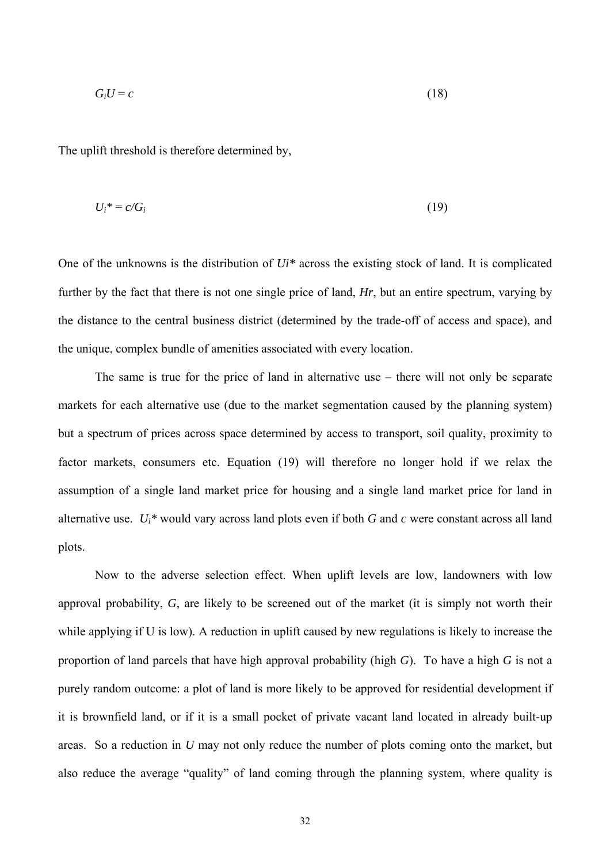$$
G_i U = c \tag{18}
$$

The uplift threshold is therefore determined by,

$$
U_i^* = c/G_i \tag{19}
$$

One of the unknowns is the distribution of *Ui\** across the existing stock of land. It is complicated further by the fact that there is not one single price of land, *Hr*, but an entire spectrum, varying by the distance to the central business district (determined by the trade-off of access and space), and the unique, complex bundle of amenities associated with every location.

The same is true for the price of land in alternative use – there will not only be separate markets for each alternative use (due to the market segmentation caused by the planning system) but a spectrum of prices across space determined by access to transport, soil quality, proximity to factor markets, consumers etc. Equation (19) will therefore no longer hold if we relax the assumption of a single land market price for housing and a single land market price for land in alternative use. *Ui\** would vary across land plots even if both *G* and *c* were constant across all land plots.

Now to the adverse selection effect. When uplift levels are low, landowners with low approval probability, *G*, are likely to be screened out of the market (it is simply not worth their while applying if U is low). A reduction in uplift caused by new regulations is likely to increase the proportion of land parcels that have high approval probability (high *G*). To have a high *G* is not a purely random outcome: a plot of land is more likely to be approved for residential development if it is brownfield land, or if it is a small pocket of private vacant land located in already built-up areas. So a reduction in *U* may not only reduce the number of plots coming onto the market, but also reduce the average "quality" of land coming through the planning system, where quality is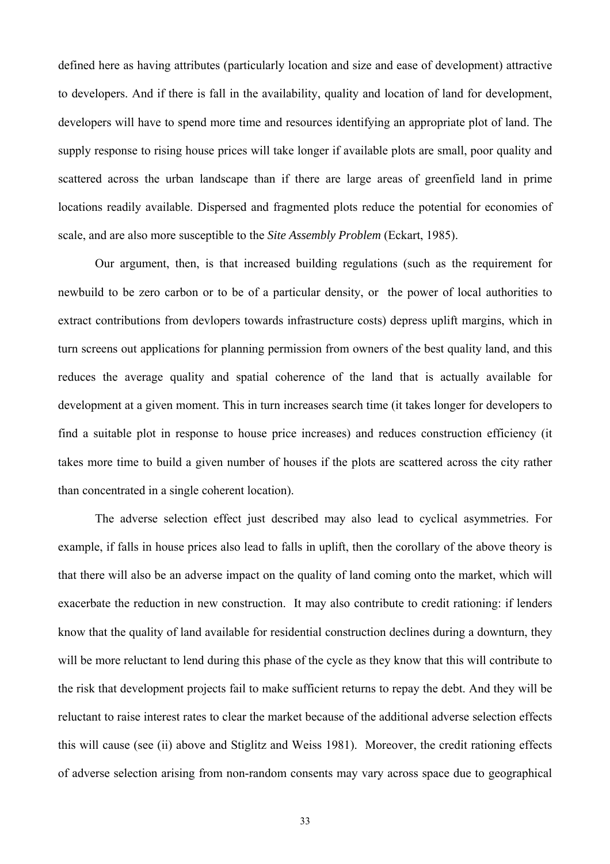defined here as having attributes (particularly location and size and ease of development) attractive to developers. And if there is fall in the availability, quality and location of land for development, developers will have to spend more time and resources identifying an appropriate plot of land. The supply response to rising house prices will take longer if available plots are small, poor quality and scattered across the urban landscape than if there are large areas of greenfield land in prime locations readily available. Dispersed and fragmented plots reduce the potential for economies of scale, and are also more susceptible to the *Site Assembly Problem* (Eckart, 1985).

Our argument, then, is that increased building regulations (such as the requirement for newbuild to be zero carbon or to be of a particular density, or the power of local authorities to extract contributions from devlopers towards infrastructure costs) depress uplift margins, which in turn screens out applications for planning permission from owners of the best quality land, and this reduces the average quality and spatial coherence of the land that is actually available for development at a given moment. This in turn increases search time (it takes longer for developers to find a suitable plot in response to house price increases) and reduces construction efficiency (it takes more time to build a given number of houses if the plots are scattered across the city rather than concentrated in a single coherent location).

The adverse selection effect just described may also lead to cyclical asymmetries. For example, if falls in house prices also lead to falls in uplift, then the corollary of the above theory is that there will also be an adverse impact on the quality of land coming onto the market, which will exacerbate the reduction in new construction. It may also contribute to credit rationing: if lenders know that the quality of land available for residential construction declines during a downturn, they will be more reluctant to lend during this phase of the cycle as they know that this will contribute to the risk that development projects fail to make sufficient returns to repay the debt. And they will be reluctant to raise interest rates to clear the market because of the additional adverse selection effects this will cause (see (ii) above and Stiglitz and Weiss 1981). Moreover, the credit rationing effects of adverse selection arising from non-random consents may vary across space due to geographical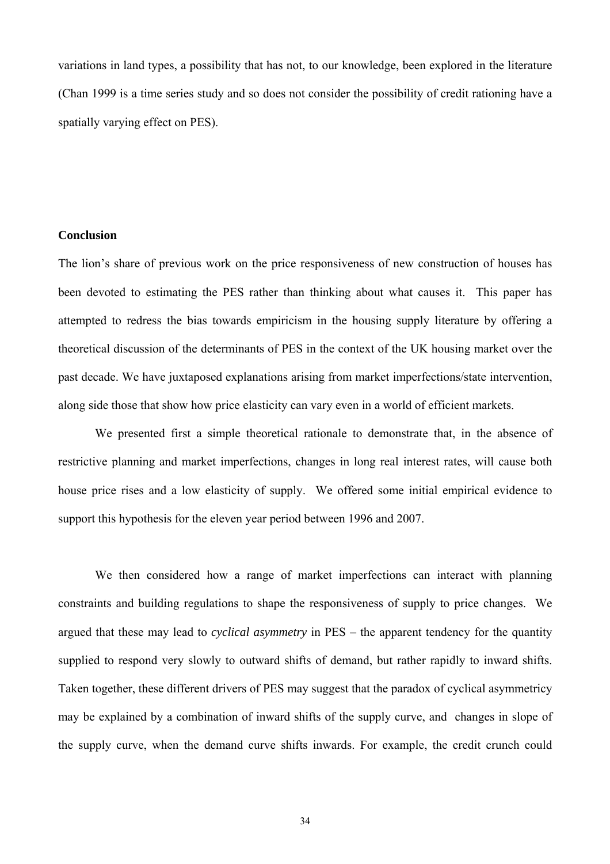variations in land types, a possibility that has not, to our knowledge, been explored in the literature (Chan 1999 is a time series study and so does not consider the possibility of credit rationing have a spatially varying effect on PES).

#### **Conclusion**

The lion's share of previous work on the price responsiveness of new construction of houses has been devoted to estimating the PES rather than thinking about what causes it. This paper has attempted to redress the bias towards empiricism in the housing supply literature by offering a theoretical discussion of the determinants of PES in the context of the UK housing market over the past decade. We have juxtaposed explanations arising from market imperfections/state intervention, along side those that show how price elasticity can vary even in a world of efficient markets.

We presented first a simple theoretical rationale to demonstrate that, in the absence of restrictive planning and market imperfections, changes in long real interest rates, will cause both house price rises and a low elasticity of supply. We offered some initial empirical evidence to support this hypothesis for the eleven year period between 1996 and 2007.

We then considered how a range of market imperfections can interact with planning constraints and building regulations to shape the responsiveness of supply to price changes. We argued that these may lead to *cyclical asymmetry* in PES – the apparent tendency for the quantity supplied to respond very slowly to outward shifts of demand, but rather rapidly to inward shifts. Taken together, these different drivers of PES may suggest that the paradox of cyclical asymmetricy may be explained by a combination of inward shifts of the supply curve, and changes in slope of the supply curve, when the demand curve shifts inwards. For example, the credit crunch could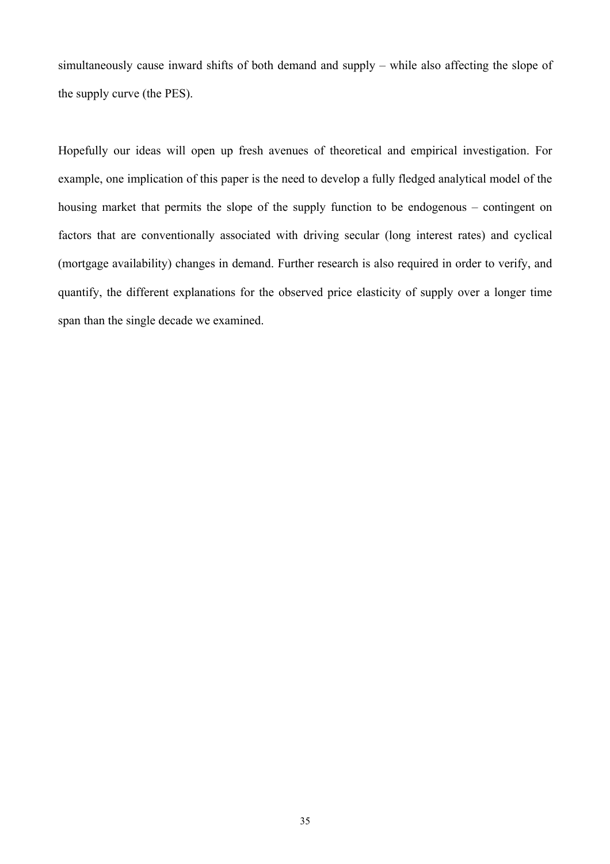simultaneously cause inward shifts of both demand and supply – while also affecting the slope of the supply curve (the PES).

Hopefully our ideas will open up fresh avenues of theoretical and empirical investigation. For example, one implication of this paper is the need to develop a fully fledged analytical model of the housing market that permits the slope of the supply function to be endogenous – contingent on factors that are conventionally associated with driving secular (long interest rates) and cyclical (mortgage availability) changes in demand. Further research is also required in order to verify, and quantify, the different explanations for the observed price elasticity of supply over a longer time span than the single decade we examined.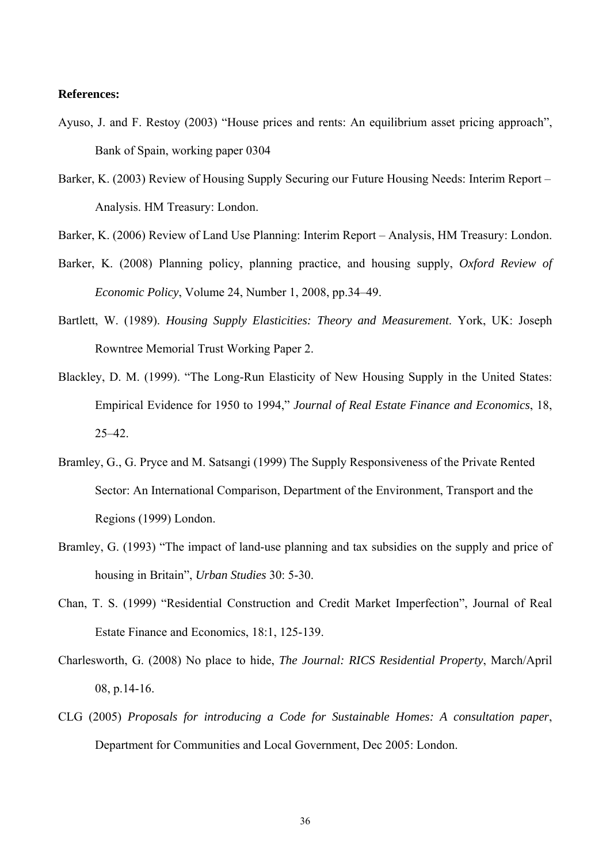#### **References:**

- Ayuso, J. and F. Restoy (2003) "House prices and rents: An equilibrium asset pricing approach", Bank of Spain, working paper 0304
- Barker, K. (2003) Review of Housing Supply Securing our Future Housing Needs: Interim Report Analysis. HM Treasury: London.
- Barker, K. (2006) Review of Land Use Planning: Interim Report Analysis, HM Treasury: London.
- Barker, K. (2008) Planning policy, planning practice, and housing supply, *Oxford Review of Economic Policy*, Volume 24, Number 1, 2008, pp.34–49.
- Bartlett, W. (1989). *Housing Supply Elasticities: Theory and Measurement*. York, UK: Joseph Rowntree Memorial Trust Working Paper 2.
- Blackley, D. M. (1999). "The Long-Run Elasticity of New Housing Supply in the United States: Empirical Evidence for 1950 to 1994," *Journal of Real Estate Finance and Economics*, 18, 25–42.
- Bramley, G., G. Pryce and M. Satsangi (1999) The Supply Responsiveness of the Private Rented Sector: An International Comparison, Department of the Environment, Transport and the Regions (1999) London.
- Bramley, G. (1993) "The impact of land-use planning and tax subsidies on the supply and price of housing in Britain", *Urban Studies* 30: 5-30.
- Chan, T. S. (1999) "Residential Construction and Credit Market Imperfection", Journal of Real Estate Finance and Economics, 18:1, 125-139.
- Charlesworth, G. (2008) No place to hide, *The Journal: RICS Residential Property*, March/April 08, p.14-16.
- CLG (2005) *Proposals for introducing a Code for Sustainable Homes: A consultation paper*, Department for Communities and Local Government, Dec 2005: London.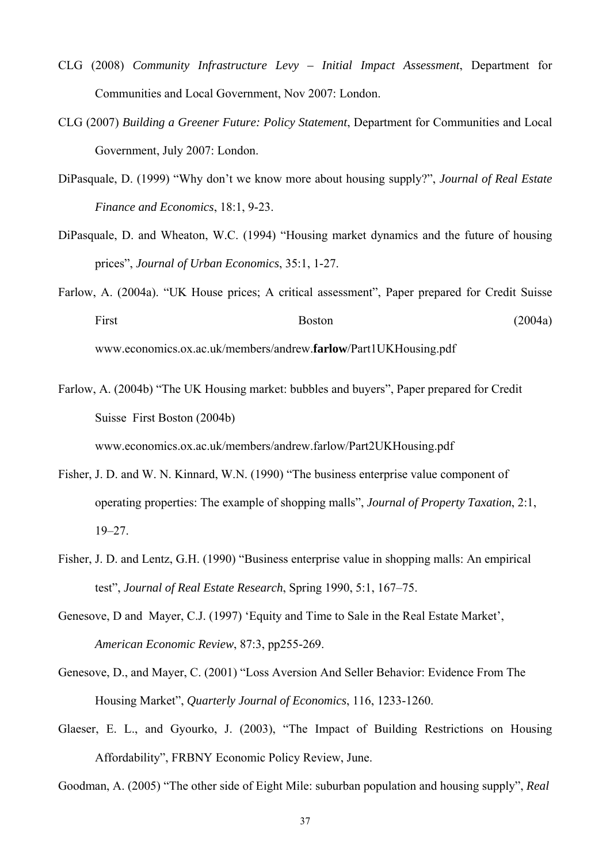- CLG (2008) *Community Infrastructure Levy Initial Impact Assessment*, Department for Communities and Local Government, Nov 2007: London.
- CLG (2007) *Building a Greener Future: Policy Statement*, Department for Communities and Local Government, July 2007: London.
- DiPasquale, D. (1999) "Why don't we know more about housing supply?", *Journal of Real Estate Finance and Economics*, 18:1, 9-23.
- DiPasquale, D. and Wheaton, W.C. (1994) "Housing market dynamics and the future of housing prices", *Journal of Urban Economics*, 35:1, 1-27.
- Farlow, A. (2004a). "UK House prices; A critical assessment", Paper prepared for Credit Suisse First Boston (2004a) www.economics.ox.ac.uk/members/andrew.**farlow**/Part1UKHousing.pdf
- Farlow, A. (2004b) "The UK Housing market: bubbles and buyers", Paper prepared for Credit Suisse First Boston (2004b) www.economics.ox.ac.uk/members/andrew.farlow/Part2UKHousing.pdf
- Fisher, J. D. and W. N. Kinnard, W.N. (1990) "The business enterprise value component of operating properties: The example of shopping malls", *Journal of Property Taxation*, 2:1, 19–27.
- Fisher, J. D. and Lentz, G.H. (1990) "Business enterprise value in shopping malls: An empirical test", *Journal of Real Estate Research*, Spring 1990, 5:1, 167–75.
- Genesove, D and Mayer, C.J. (1997) 'Equity and Time to Sale in the Real Estate Market', *American Economic Review*, 87:3, pp255-269.
- Genesove, D., and Mayer, C. (2001) "Loss Aversion And Seller Behavior: Evidence From The Housing Market", *Quarterly Journal of Economics*, 116, 1233-1260.
- Glaeser, E. L., and Gyourko, J. (2003), "The Impact of Building Restrictions on Housing Affordability", FRBNY Economic Policy Review, June.

Goodman, A. (2005) "The other side of Eight Mile: suburban population and housing supply", *Real*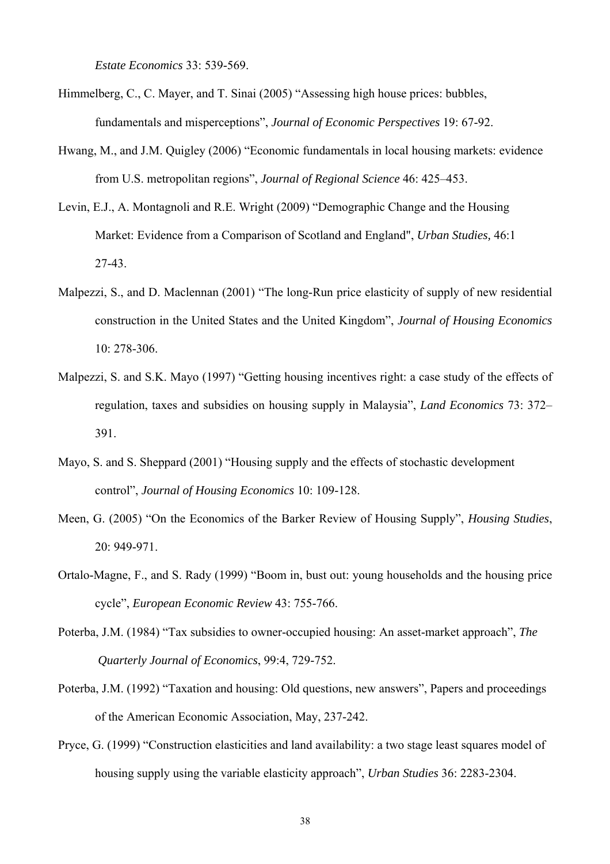*Estate Economics* 33: 539-569.

- Himmelberg, C., C. Mayer, and T. Sinai (2005) "Assessing high house prices: bubbles, fundamentals and misperceptions", *Journal of Economic Perspectives* 19: 67-92.
- Hwang, M., and J.M. Quigley (2006) "Economic fundamentals in local housing markets: evidence from U.S. metropolitan regions", *Journal of Regional Science* 46: 425–453.
- Levin, E.J., A. Montagnoli and R.E. Wright (2009) "Demographic Change and the Housing Market: Evidence from a Comparison of Scotland and England", *Urban Studies,* 46:1 27-43.
- Malpezzi, S., and D. Maclennan (2001) "The long-Run price elasticity of supply of new residential construction in the United States and the United Kingdom", *Journal of Housing Economics* 10: 278-306.
- Malpezzi, S. and S.K. Mayo (1997) "Getting housing incentives right: a case study of the effects of regulation, taxes and subsidies on housing supply in Malaysia", *Land Economics* 73: 372– 391.
- Mayo, S. and S. Sheppard (2001) "Housing supply and the effects of stochastic development control", *Journal of Housing Economics* 10: 109-128.
- Meen, G. (2005) "On the Economics of the Barker Review of Housing Supply", *Housing Studies*, 20: 949-971.
- Ortalo-Magne, F., and S. Rady (1999) "Boom in, bust out: young households and the housing price cycle", *European Economic Review* 43: 755-766.
- Poterba, J.M. (1984) "Tax subsidies to owner-occupied housing: An asset-market approach", *The Quarterly Journal of Economics*, 99:4, 729-752.
- Poterba, J.M. (1992) "Taxation and housing: Old questions, new answers", Papers and proceedings of the American Economic Association, May, 237-242.
- Pryce, G. (1999) "Construction elasticities and land availability: a two stage least squares model of housing supply using the variable elasticity approach", *Urban Studies* 36: 2283-2304.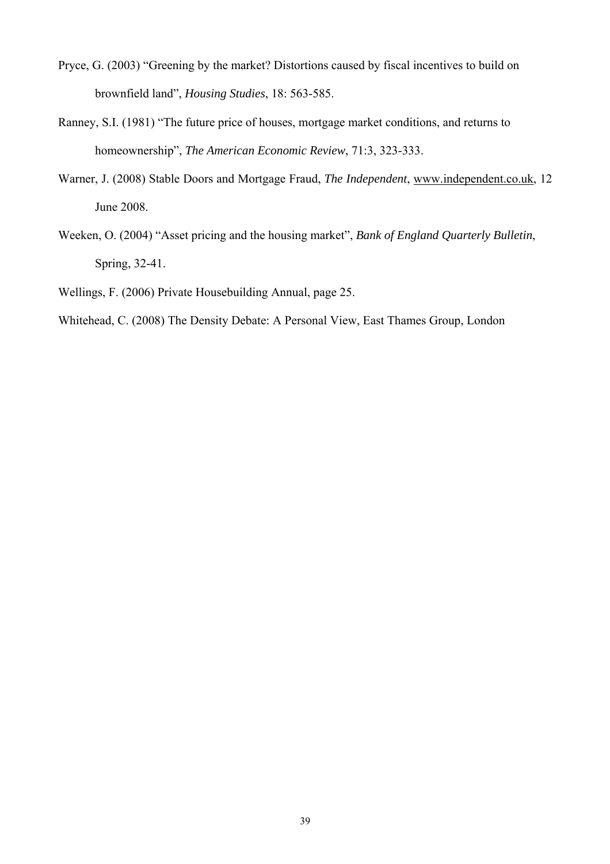- Pryce, G. (2003) "Greening by the market? Distortions caused by fiscal incentives to build on brownfield land", *Housing Studies*, 18: 563-585.
- Ranney, S.I. (1981) "The future price of houses, mortgage market conditions, and returns to homeownership", *The American Economic Review*, 71:3, 323-333.
- Warner, J. (2008) Stable Doors and Mortgage Fraud, *The Independent*, [www.independent.co.uk](http://www.independent.co.uk/), 12 June 2008.
- Weeken, O. (2004) "Asset pricing and the housing market", *Bank of England Quarterly Bulletin*, Spring, 32-41.

Wellings, F. (2006) Private Housebuilding Annual, page 25.

Whitehead, C. (2008) The Density Debate: A Personal View, East Thames Group, London